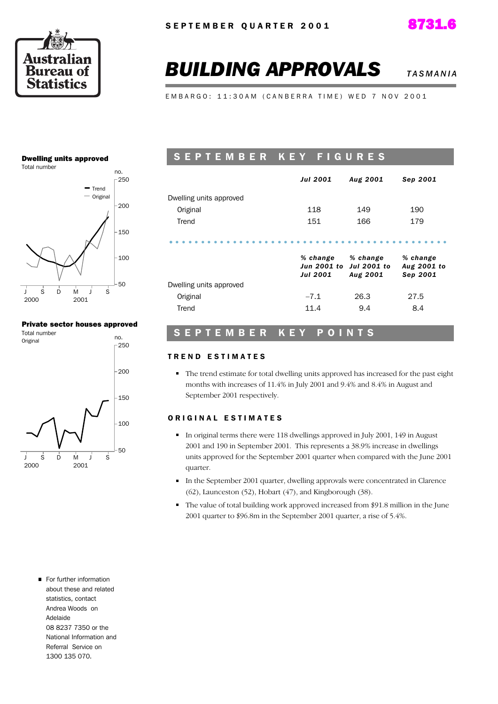



## **BUILDING APPROVALS** *TASMANIA***</del>**

EMBARGO: 11:30AM (CANBERRA TIME) WED 7 NOV 2001

#### Dwelling units approved



#### Private sector houses approved



### SEPTEMBER KEY FIGURES

|                         | <b>Jul 2001</b>             | Aug 2001                                               | Sep 2001                            |
|-------------------------|-----------------------------|--------------------------------------------------------|-------------------------------------|
| Dwelling units approved |                             |                                                        |                                     |
| Original                | 118                         | 149                                                    | 190                                 |
| Trend                   | 151                         | 166                                                    | 179                                 |
|                         | % change<br><b>Jul 2001</b> | % change<br>Jun 2001 to Jul 2001 to<br><b>Aug 2001</b> | % change<br>Aug 2001 to<br>Sep 2001 |
| Dwelling units approved |                             |                                                        |                                     |
| Original                | $-7.1$                      | 26.3                                                   | 27.5                                |
| Trend                   | 11.4                        | 9.4                                                    | 8.4                                 |

#### S E P T E M B E R K E Y P O I N T S

#### TREND ESTIMATES

The trend estimate for total dwelling units approved has increased for the past eight months with increases of 11.4% in July 2001 and 9.4% and 8.4% in August and September 2001 respectively.

#### ORIGINAL ESTIMATES

- In original terms there were 118 dwellings approved in July 2001, 149 in August 2001 and 190 in September 2001. This represents a 38.9% increase in dwellings units approved for the September 2001 quarter when compared with the June 2001 quarter.
- In the September 2001 quarter, dwelling approvals were concentrated in Clarence (62), Launceston (52), Hobart (47), and Kingborough (38).
- The value of total building work approved increased from \$91.8 million in the June 2001 quarter to \$96.8m in the September 2001 quarter, a rise of 5.4%.

For further information about these and related statistics, contact Andrea Woods on Adelaide 08 8237 7350 or the National Information and Referral Service on 1300 135 070.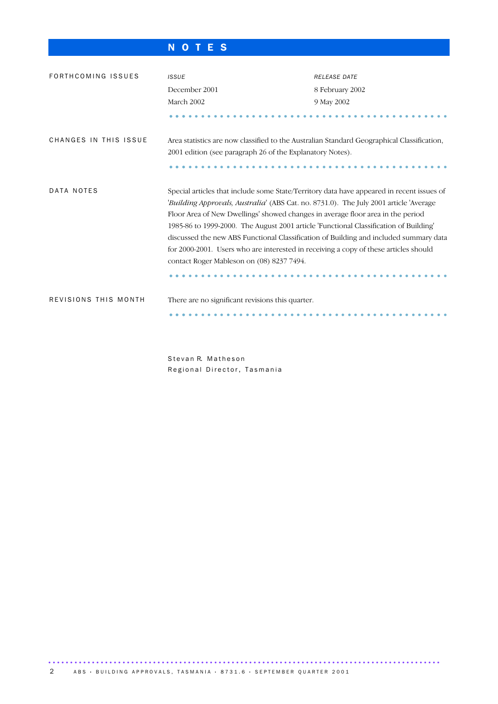### N O T E S

| FORTHCOMING ISSUES    | <b>ISSUE</b>                                                                                                                                                                                                                                                                                                                                                                                                                                                                                                                                                                                 | <b>RELEASE DATE</b> |  |  |  |  |  |
|-----------------------|----------------------------------------------------------------------------------------------------------------------------------------------------------------------------------------------------------------------------------------------------------------------------------------------------------------------------------------------------------------------------------------------------------------------------------------------------------------------------------------------------------------------------------------------------------------------------------------------|---------------------|--|--|--|--|--|
|                       | December 2001                                                                                                                                                                                                                                                                                                                                                                                                                                                                                                                                                                                | 8 February 2002     |  |  |  |  |  |
|                       | March 2002                                                                                                                                                                                                                                                                                                                                                                                                                                                                                                                                                                                   | 9 May 2002          |  |  |  |  |  |
|                       |                                                                                                                                                                                                                                                                                                                                                                                                                                                                                                                                                                                              |                     |  |  |  |  |  |
| CHANGES IN THIS ISSUE | Area statistics are now classified to the Australian Standard Geographical Classification,                                                                                                                                                                                                                                                                                                                                                                                                                                                                                                   |                     |  |  |  |  |  |
|                       | 2001 edition (see paragraph 26 of the Explanatory Notes).                                                                                                                                                                                                                                                                                                                                                                                                                                                                                                                                    |                     |  |  |  |  |  |
|                       |                                                                                                                                                                                                                                                                                                                                                                                                                                                                                                                                                                                              |                     |  |  |  |  |  |
| DATA NOTES            | Special articles that include some State/Territory data have appeared in recent issues of<br>'Building Approvals, Australia' (ABS Cat. no. 8731.0). The July 2001 article 'Average<br>Floor Area of New Dwellings' showed changes in average floor area in the period<br>1985-86 to 1999-2000. The August 2001 article 'Functional Classification of Building'<br>discussed the new ABS Functional Classification of Building and included summary data<br>for 2000-2001. Users who are interested in receiving a copy of these articles should<br>contact Roger Mableson on (08) 8237 7494. |                     |  |  |  |  |  |
| REVISIONS THIS MONTH  | There are no significant revisions this quarter.                                                                                                                                                                                                                                                                                                                                                                                                                                                                                                                                             |                     |  |  |  |  |  |
|                       |                                                                                                                                                                                                                                                                                                                                                                                                                                                                                                                                                                                              |                     |  |  |  |  |  |

Stevan R. Matheson Regional Director, Tasmania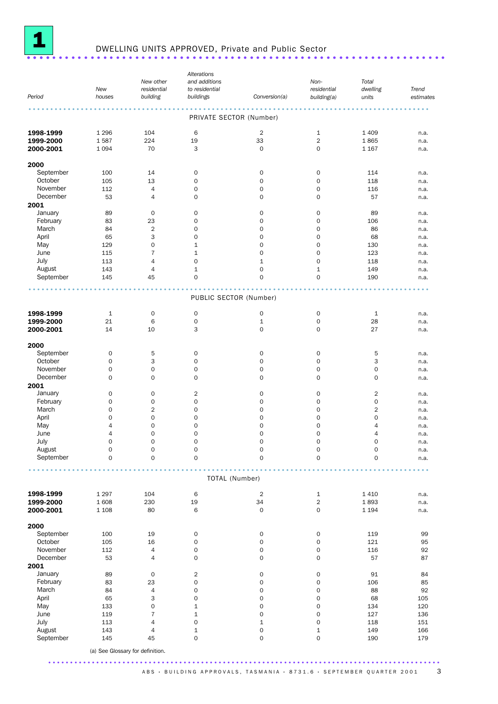

# **1** DWELLING UNITS APPROVED, Private and Public Sector .........................

|           |                    |                                  | Alterations                        |                            |                     |                     |           |
|-----------|--------------------|----------------------------------|------------------------------------|----------------------------|---------------------|---------------------|-----------|
|           |                    | New other                        | and additions                      |                            | Non-                | Total               |           |
|           | New                | residential                      | to residential                     |                            | residential         | dwelling            | Trend     |
| Period    | houses             | building                         | buildings                          | Conversion(a)              | building(a)         | units               | estimates |
|           |                    |                                  |                                    |                            |                     |                     | 0.0.0     |
|           |                    |                                  | PRIVATE SECTOR (Number)            |                            |                     |                     |           |
| 1998-1999 | 1 2 9 6            | 104                              | 6                                  | $\overline{2}$             | $1\,$               | 1 4 0 9             | n.a.      |
| 1999-2000 | 1587               | 224                              | 19                                 | 33                         | $\overline{2}$      | 1865                | n.a.      |
| 2000-2001 | 1 0 9 4            | 70                               | 3                                  | $\mathbf 0$                | $\mathbf{O}$        | 1 1 6 7             | n.a.      |
|           |                    |                                  |                                    |                            |                     |                     |           |
| 2000      |                    |                                  |                                    |                            |                     |                     |           |
| September | 100                | 14                               | 0                                  | $\mathsf{O}\xspace$        | 0                   | 114                 | n.a.      |
| October   | 105                | 13                               | $\mathsf{O}\xspace$                | $\mathbf 0$                | $\mathbf 0$         | 118                 | n.a.      |
| November  | 112                | 4                                | $\mathbf 0$                        | 0                          | 0                   | 116                 | n.a.      |
| December  | 53                 | 4                                | $\mathbf 0$                        | $\mathbf 0$                | 0                   | 57                  | n.a.      |
| 2001      |                    |                                  |                                    |                            |                     |                     |           |
| January   | 89                 | 0                                | $\mathbf 0$                        | 0                          | 0                   | 89                  | n.a.      |
| February  | 83                 | 23                               | 0                                  | $\mathsf{O}\xspace$        | $\mathbf{O}$        | 106                 | n.a.      |
| March     | 84                 | $\overline{2}$                   | 0                                  | 0                          | 0                   | 86                  | n.a.      |
| April     | 65                 | 3                                | $\mathbf 0$                        | $\mathbf 0$                | 0                   | 68                  | n.a.      |
| May       | 129                | 0                                | $\mathbf{1}$                       | $\mathbf 0$                | 0                   | 130                 | n.a.      |
| June      | 115                | $\overline{7}$                   | $\mathbf{1}$                       | $\mathbf 0$                | $\mathbf{O}$        | 123                 | n.a.      |
| July      | 113                | 4                                | 0                                  | $\mathbf{1}$               | 0                   | 118                 | n.a.      |
| August    | 143                | 4                                | $\mathbf{1}$                       | 0                          | $1\,$               | 149                 | n.a.      |
| September | 145                | 45                               | $\mathbf 0$                        | $\mathbf 0$                | 0                   | 190                 | n.a.      |
|           |                    |                                  |                                    |                            |                     |                     |           |
|           |                    |                                  | PUBLIC SECTOR (Number)             |                            |                     |                     |           |
| 1998-1999 |                    |                                  |                                    |                            |                     |                     |           |
|           | $\mathbf{1}$<br>21 | $\mathbf 0$<br>6                 | $\mathbf 0$<br>$\mathsf{O}\xspace$ | $\mathsf{O}\xspace$        | 0                   | $\mathbf{1}$<br>28  | n.a.      |
| 1999-2000 | 14                 | 10                               | 3                                  | $\mathbf 1$<br>$\mathbf 0$ | 0<br>0              | 27                  | n.a.      |
| 2000-2001 |                    |                                  |                                    |                            |                     |                     | n.a.      |
| 2000      |                    |                                  |                                    |                            |                     |                     |           |
| September | $\mathbf 0$        | 5                                | $\mathbf 0$                        | $\mathsf{O}\xspace$        | 0                   | 5                   | n.a.      |
| October   | $\mathbf 0$        | 3                                | $\mathbf 0$                        | $\mathbf 0$                | $\mathbf{O}$        | 3                   | n.a.      |
| November  | $\mathbf 0$        | 0                                | $\mathbf 0$                        | 0                          | 0                   | 0                   | n.a.      |
| December  | $\mathbf 0$        | $\mathbf 0$                      | $\mathbf 0$                        | $\mathbf 0$                | 0                   | 0                   | n.a.      |
| 2001      |                    |                                  |                                    |                            |                     |                     |           |
| January   | $\mathbf 0$        | $\mathbf 0$                      |                                    | $\mathbf 0$                | 0                   |                     |           |
|           | $\mathbf 0$        |                                  | $\overline{2}$<br>0                |                            |                     | $\overline{2}$      | n.a.      |
| February  |                    | $\mathbf 0$                      |                                    | 0                          | 0                   | 0                   | n.a.      |
| March     | 0                  | $\overline{2}$                   | 0                                  | 0                          | 0                   | 2                   | n.a.      |
| April     | 0                  | $\mathbf 0$                      | 0                                  | 0                          | 0                   | 0                   | n.a.      |
| May       | 4                  | $\mathbf 0$                      | 0                                  | 0                          | 0                   | $\overline{4}$      | n.a.      |
| June      | 4                  | $\mathbf 0$                      | $\mathbf 0$                        | $\mathbf 0$                | 0                   | 4                   | n.a.      |
| July      | $\mathbf 0$        | $\overline{O}$                   | $\mathbf 0$                        | $\mathbf 0$                | 0                   | 0                   | n.a.      |
| August    | 0                  | 0                                | 0                                  | 0                          | 0                   | 0                   | n.a.      |
| September | $\mathbf 0$        | $\mathbf 0$                      | $\mathsf{O}\xspace$                | $\mathsf{O}\xspace$        | $\mathsf{O}\xspace$ | $\mathsf{O}\xspace$ | n.a.      |
|           |                    |                                  | TOTAL (Number)                     |                            |                     |                     |           |
|           |                    |                                  |                                    |                            |                     |                     |           |
| 1998-1999 | 1 2 9 7            | 104                              | 6                                  | $\sqrt{2}$                 | $\mathbf{1}$        | 1 4 1 0             | n.a.      |
| 1999-2000 | 1608               | 230                              | 19                                 | 34                         | $\overline{2}$      | 1893                | n.a.      |
| 2000-2001 | 1 1 0 8            | 80                               | 6                                  | $\mathbf 0$                | 0                   | 1 1 9 4             | n.a.      |
| 2000      |                    |                                  |                                    |                            |                     |                     |           |
| September |                    |                                  |                                    |                            |                     |                     |           |
| October   | 100                | 19                               | 0                                  | $\mathsf{O}$               | 0                   | 119<br>121          | 99        |
|           | 105                | 16                               | $\mathsf{O}\xspace$                | $\mathsf{O}\xspace$        | 0                   |                     | 95        |
| November  | 112                | $\sqrt{4}$                       | 0                                  | $\mathsf{O}\xspace$        | 0                   | 116                 | 92        |
| December  | 53                 | $\sqrt{4}$                       | 0                                  | $\mathsf{O}\xspace$        | 0                   | 57                  | 87        |
| 2001      |                    |                                  |                                    |                            |                     |                     |           |
| January   | 89                 | $\mathbf 0$                      | 2                                  | $\mathsf{O}\xspace$        | 0                   | 91                  | 84        |
| February  | 83                 | 23                               | 0                                  | $\mathsf{O}\xspace$        | 0                   | 106                 | 85        |
| March     | 84                 | $\sqrt{4}$                       | 0                                  | 0                          | 0                   | 88                  | 92        |
| April     | 65                 | 3                                | 0                                  | $\mathsf{O}\xspace$        | 0                   | 68                  | 105       |
| May       | 133                | 0                                | $\mathbf 1$                        | 0                          | 0                   | 134                 | 120       |
| June      | 119                | $\overline{7}$                   | $\mathbf 1$                        | $\mathbf 0$                | 0                   | 127                 | 136       |
| July      | 113                | $\sqrt{4}$                       | 0                                  | $\mathbf 1$                | $\mathsf{O}\xspace$ | 118                 | 151       |
| August    | 143                | 4                                | $\mathbf 1$                        | $\mathbf 0$                | $\mathbf 1$         | 149                 | 166       |
| September | 145                | 45                               | 0                                  | 0                          | 0                   | 190                 | 179       |
|           |                    |                                  |                                    |                            |                     |                     |           |
|           |                    | (a) See Glossary for definition. |                                    |                            |                     |                     |           |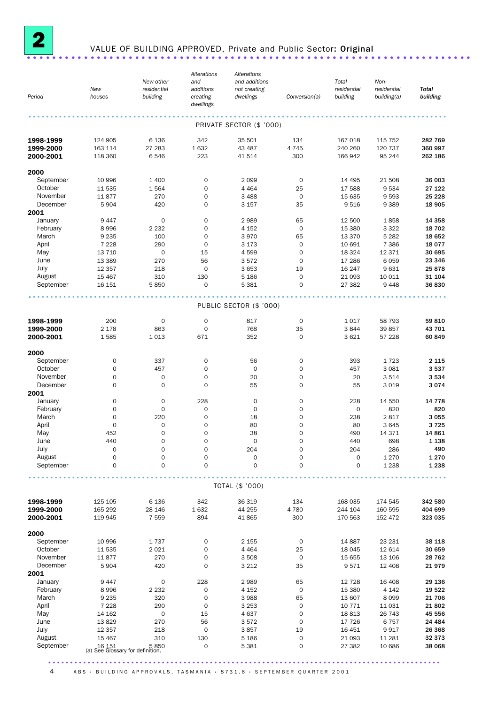

### <sup>2</sup> VALUE OF BUILDING APPROVED, Private and Public Sector: Original ......................................................................

|           |                                           |                     | Alterations           | Alterations              |                     |             |             |              |
|-----------|-------------------------------------------|---------------------|-----------------------|--------------------------|---------------------|-------------|-------------|--------------|
|           |                                           | New other           | and                   | and additions            |                     | Total       | Non-        |              |
|           | New                                       | residential         | additions             | not creating             |                     | residential | residential | <b>Total</b> |
| Period    | houses                                    | building            | creating<br>dwellings | dwellings                | Conversion(a)       | building    | building(a) | building     |
|           |                                           |                     |                       |                          |                     |             |             |              |
|           |                                           |                     |                       | PRIVATE SECTOR (\$ '000) |                     |             |             |              |
| 1998-1999 | 124 905                                   | 6 1 3 6             | 342                   | 35 501                   | 134                 | 167 018     | 115 752     | 282 769      |
| 1999-2000 | 163 114                                   | 27 283              | 1632                  | 43 487                   | 4745                | 240 260     | 120 737     | 360 997      |
| 2000-2001 | 118 360                                   | 6546                | 223                   | 41 514                   | 300                 | 166 942     | 95 244      | 262 186      |
| 2000      |                                           |                     |                       |                          |                     |             |             |              |
| September | 10 996                                    | 1 400               | $\mathbf 0$           | 2 0 9 9                  | 0                   | 14 4 95     | 21 508      | 36 003       |
| October   | 11 535                                    | 1564                | $\mathbf 0$           | 4 4 6 4                  | 25                  | 17 588      | 9534        | 27 122       |
| November  | 11877                                     | 270                 | $\mathbf 0$           | 3 4 8 8                  | $\mathbf 0$         | 15 635      | 9593        | 25 2 28      |
| December  | 5904                                      | 420                 | $\mathbf 0$           | 3 1 5 7                  | 35                  | 9516        | 9389        | 18 905       |
| 2001      |                                           |                     |                       |                          |                     |             |             |              |
| January   | 9447                                      | $\mathbf 0$         | $\mathbf 0$           | 2989                     | 65                  | 12 500      | 1858        | 14 3 58      |
| February  | 8996                                      | 2 2 3 2             | $\mathbf 0$           | 4 1 5 2                  | $\mathbf 0$         | 15 380      | 3 3 2 2     | 18 702       |
| March     | 9 2 3 5                                   | 100                 | $\mathbf 0$           | 3970                     | 65                  | 13 370      | 5 2 8 2     | 18 652       |
| April     | 7 2 2 8                                   | 290                 | $\mathbf 0$           | 3 1 7 3                  | $\mathbf 0$         | 10 691      | 7 3 8 6     | 18 077       |
| May       | 13 7 10                                   | $\mathbf 0$         | 15                    | 4599                     | $\mathbf 0$         | 18 3 24     | 12 3 7 1    | 30 695       |
|           |                                           |                     |                       |                          |                     |             |             | 23 346       |
| June      | 13 3 89                                   | 270                 | 56                    | 3572                     | $\mathbf 0$         | 17 28 6     | 6059        |              |
| July      | 12 3 5 7                                  | 218                 | $\mathbf 0$           | 3 653                    | 19                  | 16 247      | 9631        | 25878        |
| August    | 15 4 67                                   | 310                 | 130                   | 5 1 8 6                  | $\mathbf 0$         | 21 093      | 10 011      | 31 104       |
| September | 16 15 1                                   | 5850                | $\mathbf 0$           | 5 3 8 1                  | $\mathbf 0$         | 27 382      | 9448        | 36830        |
|           |                                           |                     |                       | PUBLIC SECTOR (\$ '000)  |                     |             |             |              |
| 1998-1999 | 200                                       | $\mathbf 0$         | $\mathbf 0$           | 817                      | $\mathbf 0$         | 1 0 1 7     | 58 793      | 59810        |
| 1999-2000 | 2 1 7 8                                   | 863                 | $\mathbf 0$           | 768                      | 35                  | 3844        | 39857       | 43 701       |
|           |                                           |                     |                       | 352                      | $\mathbf 0$         |             |             | 60 849       |
| 2000-2001 | 1585                                      | 1013                | 671                   |                          |                     | 3621        | 57 228      |              |
| 2000      |                                           |                     |                       |                          |                     |             |             |              |
| September | $\mathbf 0$                               | 337                 | $\mathbf 0$           | 56                       | $\mathbf 0$         | 393         | 1723        | 2 1 1 5      |
| October   | $\mathbf 0$                               | 457                 | $\mathbf 0$           | $\mathbf 0$              | $\mathbf 0$         | 457         | 3 0 8 1     | 3537         |
| November  | 0                                         | $\mathbf 0$         | $\mathbf 0$           | 20                       | 0                   | 20          | 3514        | 3 5 3 4      |
| December  | $\mathbf 0$                               | $\mathbf 0$         | $\mathbf 0$           | 55                       | 0                   | 55          | 3019        | 3074         |
| 2001      |                                           |                     |                       |                          |                     |             |             |              |
| January   | 0                                         | $\mathbf 0$         | 228                   | $\mathbf 0$              | $\mathbf 0$         | 228         | 14 550      | 14 7 78      |
| February  | 0                                         | $\mathbf 0$         | $\mathbf 0$           | $\mathbf 0$              | 0                   | $\mathbf 0$ | 820         | 820          |
| March     | 0                                         | 220                 | $\mathbf 0$           | 18                       | 0                   | 238         | 2817        | 3055         |
| April     | $\mathbf 0$                               | $\mathbf 0$         | $\mathbf 0$           | 80                       | 0                   | 80          | 3645        | 3725         |
| May       | 452                                       | 0                   | $\mathbf 0$           | 38                       | 0                   | 490         | 14 3 7 1    | 14 861       |
| June      | 440                                       | $\mathbf 0$         | $\mathbf 0$           | $\mathbf 0$              | 0                   | 440         | 698         | 1 1 3 8      |
| July      | 0                                         | 0                   | 0                     | 204                      | 0                   | 204         | 286         | 490          |
| August    | 0                                         | $\mathsf{O}\xspace$ | $\mathsf{O}\xspace$   | $\mathbf 0$              | 0                   | $\mathbf 0$ | 1 2 7 0     | 1 2 7 0      |
| September | 0                                         | $\mathbf 0$         | $\mathbf 0$           | $\overline{O}$           | $\overline{O}$      | $\mathbf 0$ | 1 2 3 8     | 1 2 3 8      |
|           |                                           |                     |                       |                          |                     |             |             |              |
|           |                                           |                     |                       | TOTAL (\$ '000)          |                     |             |             |              |
| 1998-1999 | 125 105                                   | 6 1 3 6             | 342                   | 36 319                   | 134                 | 168 035     | 174 545     | 342 580      |
| 1999-2000 | 165 292                                   | 28 146              | 1632                  | 44 255                   | 4780                | 244 104     | 160 595     | 404 699      |
| 2000-2001 | 119 945                                   | 7 5 5 9             | 894                   | 41 865                   | 300                 | 170 563     | 152 472     | 323 035      |
| 2000      |                                           |                     |                       |                          |                     |             |             |              |
| September | 10 996                                    | 1737                | 0                     | 2 1 5 5                  | $\mathbf 0$         | 14 887      | 23 231      | 38 118       |
| October   |                                           |                     | $\mathbf 0$           |                          |                     |             |             | 30 659       |
|           | 11 535                                    | 2021                |                       | 4 4 6 4                  | 25                  | 18 045      | 12 614      |              |
| November  | 11877                                     | 270                 | $\mathsf{O}\xspace$   | 3 5 0 8                  | $\mathsf{O}\xspace$ | 15 655      | 13 106      | 28 762       |
| December  | 5904                                      | 420                 | $\mathbf 0$           | 3 2 1 2                  | 35                  | 9571        | 12 408      | 21979        |
| 2001      |                                           |                     |                       |                          |                     |             |             |              |
| January   | 9447                                      | 0                   | 228                   | 2989                     | 65                  | 12 7 28     | 16 408      | 29 136       |
| February  | 8996                                      | 2 2 3 2             | $\mathsf{O}\xspace$   | 4 1 5 2                  | $\mathsf{O}\xspace$ | 15 380      | 4 1 4 2     | 19 522       |
| March     | 9 2 3 5                                   | 320                 | $\mathsf{O}\xspace$   | 3 9 8 8                  | 65                  | 13 607      | 8099        | 21 706       |
| April     | 7 2 2 8                                   | 290                 | $\mathbf 0$           | 3 2 5 3                  | $\mathsf{O}\xspace$ | 10 771      | 11 0 31     | 21802        |
| May       | 14 162                                    | $\mathsf{O}\xspace$ | 15                    | 4 637                    | $\mathsf{O}\xspace$ | 18813       | 26 743      | 45 556       |
| June      | 13829                                     | 270                 | 56                    | 3572                     | $\mathbf 0$         | 17 726      | 6757        | 24 4 84      |
| July      | 12 3 5 7                                  | 218                 | $\mathsf{O}\xspace$   | 3857                     | 19                  | 16 451      | 9917        | 26 368       |
| August    | 15 4 67                                   | 310                 | 130                   | 5 1 8 6                  | $\mathsf{O}\xspace$ | 21 093      | 11 281      | 32 373       |
| September | 5 850<br>(a) See Glossary for definition. |                     | $\mathbf 0$           | 5 3 8 1                  | 0                   | 27 382      | 10 686      | 38 068       |
|           |                                           |                     |                       |                          |                     |             |             |              |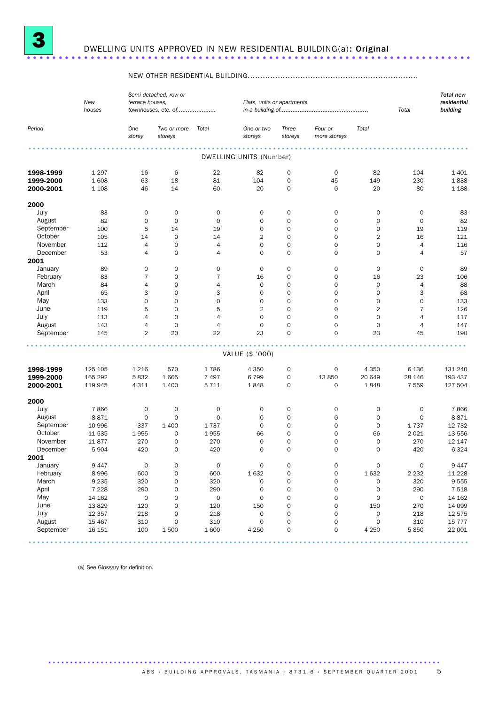

### <sup>3</sup> DWELLING UNITS APPROVED IN NEW RESIDENTIAL BUILDING(a): Original ......................................................................

### NEW OTHER RESIDENTIAL BUILDING....................................................................

|                        | New<br>houses   | terrace houses,     | Semi-detached, row or<br>townhouses, etc. of |                     | Flats, units or apartments |                  |                         |                         | Total               | <b>Total new</b><br>residential<br>building |
|------------------------|-----------------|---------------------|----------------------------------------------|---------------------|----------------------------|------------------|-------------------------|-------------------------|---------------------|---------------------------------------------|
| Period                 |                 | One<br>storey       | Two or more<br>storeys                       | Total               | One or two<br>storeys      | Three<br>storeys | Four or<br>more storeys | Total                   |                     |                                             |
|                        |                 |                     |                                              |                     | DWELLING UNITS (Number)    |                  |                         |                         |                     |                                             |
|                        |                 |                     |                                              |                     |                            |                  |                         |                         |                     |                                             |
| 1998-1999<br>1999-2000 | 1 2 9 7<br>1608 | 16<br>63            | 6<br>18                                      | 22<br>81            | 82<br>104                  | $\mathsf O$<br>0 | $\mathbf 0$<br>45       | 82<br>149               | 104<br>230          | 1 4 0 1<br>1838                             |
| 2000-2001              | 1 1 0 8         | 46                  | 14                                           | 60                  | 20                         | $\mathbf 0$      | $\mathbf 0$             | 20                      | 80                  | 1 1 8 8                                     |
|                        |                 |                     |                                              |                     |                            |                  |                         |                         |                     |                                             |
| 2000                   |                 |                     |                                              |                     |                            |                  |                         |                         |                     |                                             |
| July                   | 83              | $\mathbf 0$         | $\mathbf 0$                                  | $\mathsf{O}\xspace$ | $\mathbf 0$                | $\mathbf 0$      | $\mathbf 0$             | 0                       | $\mathsf{O}\xspace$ | 83                                          |
| August                 | 82              | $\mathbf 0$         | $\mathbf 0$                                  | $\mathbf 0$         | $\mathbf 0$                | $\mathbf 0$      | $\mathbf 0$             | 0                       | $\mathbf 0$         | 82                                          |
| September              | 100             | 5                   | 14                                           | 19                  | $\mathbf 0$                | $\mathbf 0$      | $\mathbf 0$             | 0                       | 19                  | 119                                         |
| October                | 105             | 14                  | $\mathbf 0$                                  | 14                  | $\overline{2}$             | 0                | $\mathbf 0$             | $\overline{\mathbf{c}}$ | 16                  | 121                                         |
| November               | 112             | $\overline{4}$      | $\mathbf 0$                                  | 4                   | $\mathbf 0$                | 0                | $\mathbf 0$             | 0                       | $\overline{4}$      | 116                                         |
| December               | 53              | $\overline{4}$      | $\mathbf 0$                                  | 4                   | $\mathbf 0$                | $\mathbf 0$      | $\mathbf 0$             | $\mathbf 0$             | $\overline{4}$      | 57                                          |
| 2001                   |                 |                     |                                              |                     |                            |                  |                         |                         |                     |                                             |
| January                | 89              | $\mathbf 0$         | 0                                            | $\mathsf{O}\xspace$ | $\mathbf 0$                | 0                | $\mathbf 0$             | 0                       | $\mathbf 0$         | 89                                          |
| February               | 83              | $\overline{7}$      | $\mathbf 0$                                  | $\overline{7}$      | 16                         | $\mathbf 0$      | $\mathbf 0$             | 16                      | 23                  | 106                                         |
| March                  | 84              | 4                   | 0                                            | 4                   | $\mathbf 0$                | 0                | $\mathbf 0$             | $\mathsf{O}\xspace$     | $\overline{4}$      | 88                                          |
| April                  | 65              | 3                   | $\mathbf 0$                                  | 3                   | $\mathbf 0$                | 0                | $\mathbf 0$             | 0                       | 3                   | 68                                          |
| May                    | 133             | $\mathbf 0$         | $\mathbf 0$                                  | 0                   | $\mathbf 0$                | $\mathbf 0$      | $\mathbf 0$             | $\mathsf{O}\xspace$     | $\mathbf 0$         | 133                                         |
| June                   | 119             | 5                   | $\mathbf 0$                                  | 5                   | $\overline{2}$             | $\mathbf 0$      | $\mathbf 0$             | $\overline{2}$          | $\overline{7}$      | 126                                         |
| July                   | 113             | 4                   | $\mathbf 0$                                  | $\overline{4}$      | $\mathbf 0$                | $\mathbf 0$      | $\mathbf 0$             | $\mathbf 0$             | $\overline{4}$      | 117                                         |
| August                 | 143             | 4                   | $\mathbf 0$                                  | 4                   | $\mathbf 0$                | $\mathbf 0$      | $\mathbf 0$             | $\mathsf{O}\xspace$     | $\overline{4}$      | 147                                         |
| September              | 145             | $\overline{2}$      | 20                                           | 22                  | 23                         | 0                | $\mathbf 0$             | 23                      | 45                  | 190                                         |
|                        |                 |                     |                                              |                     | VALUE (\$ '000)            |                  |                         |                         |                     |                                             |
|                        |                 |                     |                                              |                     |                            |                  |                         |                         |                     |                                             |
| 1998-1999              | 125 105         | 1 2 1 6             | 570                                          | 1786                | 4 3 5 0                    | 0                | 0                       | 4 3 5 0                 | 6 1 3 6             | 131 240                                     |
| 1999-2000              | 165 292         | 5832                | 1665                                         | 7 4 9 7             | 6799                       | 0                | 13850                   | 20 649                  | 28 146              | 193 437                                     |
| 2000-2001              | 119 945         | 4 3 1 1             | 1 4 0 0                                      | 5 7 1 1             | 1848                       | 0                | 0                       | 1848                    | 7 5 5 9             | 127 504                                     |
| 2000                   |                 |                     |                                              |                     |                            |                  |                         |                         |                     |                                             |
| July                   | 7866            | $\mathbf 0$         | $\mathbf 0$                                  | $\mathsf{O}\xspace$ | 0                          | $\mathbf 0$      | $\mathbf 0$             | 0                       | $\mathbf 0$         | 7866                                        |
| August                 | 8871            | 0                   | $\mathbf 0$                                  | $\mathbf 0$         | $\mathbf 0$                | $\mathbf 0$      | $\mathbf 0$             | 0                       | $\mathbf 0$         | 8871                                        |
| September              | 10 996          | 337                 | 1 4 0 0                                      | 1737                | $\mathbf 0$                | 0                | 0                       | 0                       | 1737                | 12 7 32                                     |
| October                | 11 535          | 1955                | 0                                            | 1955                | 66                         | 0                | $\mathbf 0$             | 66                      | 2 0 2 1             | 13 556                                      |
| November               | 11877           | 270                 | $\mathbf 0$                                  | 270                 | $\mathbf 0$                | $\mathbf 0$      | $\mathbf 0$             | 0                       | 270                 | 12 147                                      |
| December               | 5 9 0 4         | 420                 | $\mathbf 0$                                  | 420                 | $\mathbf 0$                | $\mathbf 0$      | $\mathbf 0$             | $\mathbf 0$             | 420                 | 6 3 2 4                                     |
| 2001                   |                 |                     |                                              |                     |                            |                  |                         |                         |                     |                                             |
| January                | 9 4 4 7         | $\mathsf{O}\xspace$ | 0                                            | $\mathsf{O}\xspace$ | $\mathsf{O}\xspace$        | 0                | 0                       | 0                       | $\mathsf{O}\xspace$ | 9 4 4 7                                     |
| February               | 8 9 9 6         | 600                 | $\mathsf{O}$                                 | 600                 | 1632                       | 0                | $\mathsf{O}\xspace$     | 1632                    | 2 2 3 2             | 11 2 28                                     |
| March                  | 9 2 3 5         | 320                 | 0                                            | 320                 | $\mathsf{O}\xspace$        | 0                | $\mathsf{O}\xspace$     | 0                       | 320                 | 9 5 5 5                                     |
| April                  | 7 2 2 8         | 290                 | $\mathsf{O}$                                 | 290                 | $\mathsf{O}\xspace$        | 0                | $\mathsf{O}\xspace$     | 0                       | 290                 | 7 5 1 8                                     |
| May                    | 14 162          | $\mathsf{O}\xspace$ | $\mathsf{O}$                                 | $\mathsf{O}\xspace$ | $\mathsf{O}\xspace$        | 0                | $\mathsf{O}\xspace$     | $\mathsf{O}\xspace$     | 0                   | 14 162                                      |
| June                   | 13829           | 120                 | 0                                            | 120                 | 150                        | 0                | $\mathsf{O}\xspace$     | 150                     | 270                 | 14 099                                      |
| July                   | 12 3 5 7        | 218                 | $\mathsf{O}$                                 | 218                 | $\mathsf{O}\xspace$        | 0                | 0                       | 0                       | 218                 | 12 575                                      |
| August                 | 15 4 67         | 310                 | $\mathsf{O}\xspace$                          | 310                 | $\mathsf{O}\xspace$        | 0                | $\mathsf{O}\xspace$     | $\mathsf{O}\xspace$     | 310                 | 15 7 7 7                                    |
| September              | 16 15 1         | 100                 | 1500                                         | 1 600               | 4 2 5 0                    | 0                | $\mathsf{O}\xspace$     | 4 2 5 0                 | 5850                | 22 001                                      |

.....................................................................................................

..........................................................................................

(a) See Glossary for definition.

A B S · BUIL DIN G A P P ROVALS, TAS MANIA · 8731.6 · SEPTEMBER QUARTER 2001 5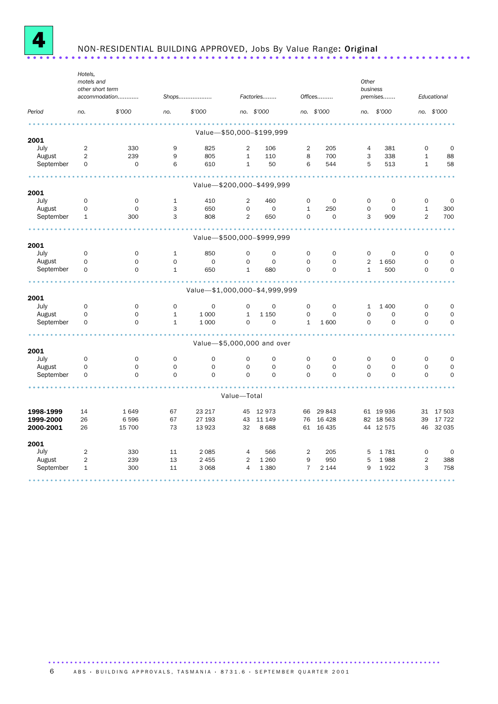

### NON-RESIDENTIAL BUILDING APPROVED, Jobs By Value Range: Original ......................................................................

|           | Hotels,          |                     |                     |                               |                     |                           |                     |                     |                |             |                |             |
|-----------|------------------|---------------------|---------------------|-------------------------------|---------------------|---------------------------|---------------------|---------------------|----------------|-------------|----------------|-------------|
|           | motels and       |                     |                     |                               |                     |                           |                     |                     | Other          |             |                |             |
|           | other short term | accommodation       |                     | Shops                         |                     | Factories                 |                     | Offices             | business       | premises    |                | Educational |
| Period    | no.              | \$'000              | no.                 | \$'000                        |                     | no. \$'000                |                     | no. \$'000          | no.            | \$'000      |                | no. \$'000  |
|           |                  |                     |                     |                               |                     |                           |                     |                     |                |             |                |             |
| 2001      |                  |                     |                     |                               |                     | Value-\$50,000-\$199,999  |                     |                     |                |             |                |             |
| July      | $\overline{2}$   | 330                 | 9                   | 825                           | $\overline{2}$      | 106                       | 2                   | 205                 | $\overline{4}$ | 381         | 0              | 0           |
| August    | $\overline{2}$   | 239                 | 9                   | 805                           | $\mathbf{1}$        | 110                       | 8                   | 700                 | 3              | 338         | $\mathbf{1}$   | 88          |
| September | $\mathbf 0$      | $\mathsf{O}\xspace$ | 6                   | 610                           | $\mathbf{1}$        | 50                        | 6                   | 544                 | 5              | 513         | $\mathbf{1}$   | 58          |
|           |                  |                     |                     |                               |                     |                           |                     |                     |                |             |                |             |
| 2001      |                  |                     |                     | Value-\$200,000-\$499,999     |                     |                           |                     |                     |                |             |                |             |
| July      | 0                | 0                   | $\mathbf{1}$        | 410                           | $\overline{2}$      | 460                       | 0                   | 0                   | 0              | $\mathbf 0$ | $\mathbf 0$    | 0           |
| August    | $\mathbf 0$      | $\mathbf 0$         | 3                   | 650                           | $\mathbf 0$         | $\mathbf 0$               | $\mathbf{1}$        | 250                 | $\mathbf 0$    | 0           | $\mathbf{1}$   | 300         |
| September | $\mathbf{1}$     | 300                 | 3                   | 808                           | $\overline{2}$      | 650                       | $\mathsf{O}\xspace$ | 0                   | 3              | 909         | $\overline{2}$ | 700         |
|           |                  |                     |                     |                               |                     | Value-\$500,000-\$999,999 |                     |                     |                |             |                |             |
| 2001      |                  |                     |                     |                               |                     |                           |                     |                     |                |             |                |             |
| July      | $\mathbf 0$      | 0                   | $\mathbf{1}$        | 850                           | $\mathbf 0$         | $\mathbf 0$               | $\mathbf 0$         | $\mathbf 0$         | $\mathbf 0$    | $\mathbf 0$ | $\mathbf 0$    | $\mathbf 0$ |
| August    | $\mathbf 0$      | $\mathbf 0$         | $\mathbf 0$         | $\mathbf 0$                   | $\mathbf 0$         | $\mathbf 0$               | $\Omega$            | $\Omega$            | $\overline{2}$ | 1650        | $\Omega$       | $\mathbf 0$ |
| September | 0                | $\mathsf{O}\xspace$ | $\mathbf{1}$        | 650                           | $1\,$               | 680                       | $\mathsf{O}\xspace$ | 0                   | $\mathbf{1}$   | 500         | $\mathbf 0$    | $\mathbf 0$ |
|           |                  |                     |                     |                               |                     |                           |                     |                     |                |             |                |             |
| 2001      |                  |                     |                     | Value-\$1,000,000-\$4,999,999 |                     |                           |                     |                     |                |             |                |             |
| July      | $\mathbf 0$      | 0                   | $\mathbf 0$         | $\mathbf 0$                   | $\mathbf 0$         | $\mathbf 0$               | $\mathbf 0$         | $\mathbf 0$         | $\mathbf{1}$   | 1 4 0 0     | $\mathbf 0$    | $\mathbf 0$ |
| August    | $\Omega$         | $\mathsf{O}\xspace$ | $\mathbf{1}$        | 1 0 0 0                       | $\mathbf{1}$        | 1 1 5 0                   | $\mathsf{O}\xspace$ | $\Omega$            | 0              | $\Omega$    | $\Omega$       | $\mathbf 0$ |
| September | $\mathbf 0$      | $\mathbf 0$         | $\mathbf{1}$        | 1 0 0 0                       | $\mathbf 0$         | $\mathbf 0$               | $\mathbf{1}$        | 1600                | $\mathbf 0$    | $\mathbf 0$ | $\mathbf 0$    | $\mathbf 0$ |
|           |                  |                     |                     |                               |                     |                           |                     |                     |                |             |                |             |
| 2001      |                  |                     |                     | Value-\$5,000,000 and over    |                     |                           |                     |                     |                |             |                |             |
| July      | 0                | 0                   | $\mathbf 0$         | $\mathbf 0$                   | $\mathbf 0$         | $\mathbf 0$               | 0                   | $\mathbf 0$         | $\mathbf 0$    | $\mathbf 0$ | $\mathbf 0$    | 0           |
| August    | 0                | $\mathsf{O}\xspace$ | $\mathsf{O}\xspace$ | $\mathsf{O}\xspace$           | $\mathsf{O}\xspace$ | $\mathbf 0$               | $\mathbf 0$         | $\mathsf{O}\xspace$ | 0              | 0           | 0              | $\mathbf 0$ |
| September | $\mathbf 0$      | $\mathbf 0$         | $\mathbf 0$         | 0                             | $\mathbf 0$         | $\Omega$                  | $\Omega$            | $\Omega$            | $\mathbf 0$    | 0           | $\mathbf 0$    | $\mathbf 0$ |
|           |                  |                     |                     |                               |                     |                           |                     |                     |                |             |                |             |
|           |                  |                     |                     |                               | Value-Total         |                           |                     |                     |                |             |                |             |
| 1998-1999 | 14               | 1649                | 67                  | 23 217                        | 45                  | 12973                     | 66                  | 29 843              |                | 61 19 936   | 31             | 17 503      |
| 1999-2000 | 26               | 6596                | 67                  | 27 193                        | 43                  | 11 149                    | 76                  | 16 4 28             |                | 82 18 563   | 39             | 17 722      |
| 2000-2001 | 26               | 15 700              | 73                  | 13 923                        | 32                  | 8688                      |                     | 61 16 435           |                | 44 12 575   | 46             | 32 035      |
| 2001      |                  |                     |                     |                               |                     |                           |                     |                     |                |             |                |             |
| July      | $\overline{2}$   | 330                 | 11                  | 2 0 8 5                       | $\overline{4}$      | 566                       | $\overline{2}$      | 205                 | 5              | 1781        | $\mathbf 0$    | $\mathbf 0$ |
| August    | 2                | 239                 | 13                  | 2 4 5 5                       | $\overline{2}$      | 1 2 6 0                   | 9                   | 950                 | 5              | 1988        | $\overline{2}$ | 388         |
| September | $\mathbf{1}$     | 300                 | 11                  | 3 0 6 8                       | $\overline{4}$      | 1 3 8 0                   | $\overline{7}$      | 2 1 4 4             | 9              | 1922        | 3              | 758         |
|           |                  |                     |                     |                               |                     |                           |                     |                     |                |             |                |             |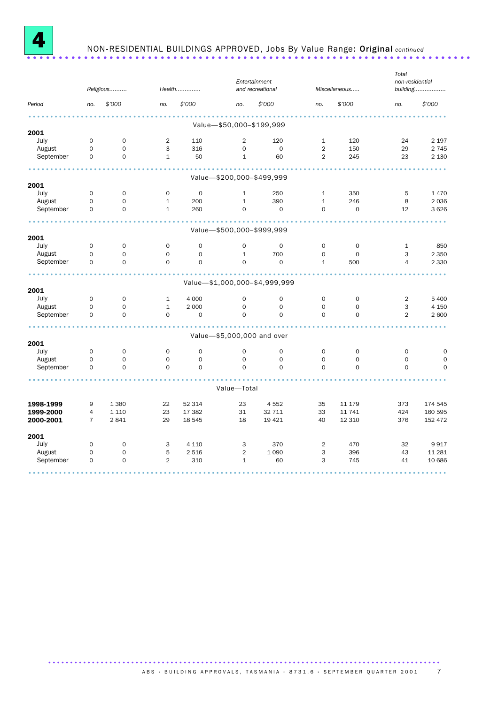

## NON-RESIDENTIAL BUILDINGS APPROVED, Jobs By Value Range: Original *continued* ......................................................................

| \$'000<br>\$'000<br>\$'000<br>\$7000<br>Period<br>no.<br>no.<br>no.<br>no.<br>no.<br>Value-\$50,000-\$199,999<br>2001<br>July<br>$\overline{2}$<br>$\mathbf 0$<br>$\mathsf{O}\xspace$<br>110<br>$\overline{2}$<br>120<br>$\mathbf{1}$<br>120<br>24<br>August<br>3<br>$\overline{2}$<br>$\Omega$<br>$\mathsf{O}\xspace$<br>316<br>$\Omega$<br>0<br>150<br>29<br>September<br>$\mathbf 0$<br>$\overline{2}$<br>$\mathsf{O}$<br>$\mathbf{1}$<br>50<br>$\mathbf{1}$<br>60<br>245<br>23<br>Value-\$200,000-\$499,999<br>July<br>$\mathsf{O}\xspace$<br>$\mathsf{O}\xspace$<br>$\mathsf{O}$<br>$\mathbf 0$<br>$\mathbf 1$<br>250<br>$\mathbf 1$<br>350<br>5<br>August<br>$\mathsf{O}$<br>$\mathbf 0$<br>390<br>246<br>8<br>$\mathbf{1}$<br>200<br>$\mathbf{1}$<br>$\mathbf{1}$<br>September<br>$\mathbf 0$<br>$\mathsf{O}\xspace$<br>$\mathbf{1}$<br>0<br>$\mathsf O$<br>$\mathbf 0$<br>$\mathsf{O}\xspace$<br>12<br>260<br>Value-\$500,000-\$999,999<br>2001<br>July<br>$\mathsf{O}\xspace$<br>$\mathsf{O}$<br>$\mathbf 0$<br>$\mathsf{O}$<br>$\mathsf{O}\xspace$<br>$\mathsf{O}\xspace$<br>$\mathbf 0$<br>$\mathbf 0$<br>$\mathbf{1}$<br>August<br>$\mathsf{O}\xspace$<br>$\mathsf{O}$<br>$\mathsf{O}\xspace$<br>$\mathbf{1}$<br>700<br>$\mathsf{O}\xspace$<br>3<br>$\mathbf{O}$<br>0<br>September<br>$\mathsf{O}\xspace$<br>$\mathbf 0$<br>$\mathbf 0$<br>$\mathsf{O}$<br>$\mathsf{O}\xspace$<br>$\mathbf 1$<br>0<br>500<br>4 | \$'000      |
|----------------------------------------------------------------------------------------------------------------------------------------------------------------------------------------------------------------------------------------------------------------------------------------------------------------------------------------------------------------------------------------------------------------------------------------------------------------------------------------------------------------------------------------------------------------------------------------------------------------------------------------------------------------------------------------------------------------------------------------------------------------------------------------------------------------------------------------------------------------------------------------------------------------------------------------------------------------------------------------------------------------------------------------------------------------------------------------------------------------------------------------------------------------------------------------------------------------------------------------------------------------------------------------------------------------------------------------------------------------------------------------------------------------------------|-------------|
|                                                                                                                                                                                                                                                                                                                                                                                                                                                                                                                                                                                                                                                                                                                                                                                                                                                                                                                                                                                                                                                                                                                                                                                                                                                                                                                                                                                                                            |             |
| 2001                                                                                                                                                                                                                                                                                                                                                                                                                                                                                                                                                                                                                                                                                                                                                                                                                                                                                                                                                                                                                                                                                                                                                                                                                                                                                                                                                                                                                       |             |
|                                                                                                                                                                                                                                                                                                                                                                                                                                                                                                                                                                                                                                                                                                                                                                                                                                                                                                                                                                                                                                                                                                                                                                                                                                                                                                                                                                                                                            |             |
|                                                                                                                                                                                                                                                                                                                                                                                                                                                                                                                                                                                                                                                                                                                                                                                                                                                                                                                                                                                                                                                                                                                                                                                                                                                                                                                                                                                                                            | 2 1 9 7     |
|                                                                                                                                                                                                                                                                                                                                                                                                                                                                                                                                                                                                                                                                                                                                                                                                                                                                                                                                                                                                                                                                                                                                                                                                                                                                                                                                                                                                                            | 2 7 4 5     |
|                                                                                                                                                                                                                                                                                                                                                                                                                                                                                                                                                                                                                                                                                                                                                                                                                                                                                                                                                                                                                                                                                                                                                                                                                                                                                                                                                                                                                            | 2 1 3 0     |
|                                                                                                                                                                                                                                                                                                                                                                                                                                                                                                                                                                                                                                                                                                                                                                                                                                                                                                                                                                                                                                                                                                                                                                                                                                                                                                                                                                                                                            |             |
|                                                                                                                                                                                                                                                                                                                                                                                                                                                                                                                                                                                                                                                                                                                                                                                                                                                                                                                                                                                                                                                                                                                                                                                                                                                                                                                                                                                                                            |             |
|                                                                                                                                                                                                                                                                                                                                                                                                                                                                                                                                                                                                                                                                                                                                                                                                                                                                                                                                                                                                                                                                                                                                                                                                                                                                                                                                                                                                                            | 1470        |
|                                                                                                                                                                                                                                                                                                                                                                                                                                                                                                                                                                                                                                                                                                                                                                                                                                                                                                                                                                                                                                                                                                                                                                                                                                                                                                                                                                                                                            | 2036        |
|                                                                                                                                                                                                                                                                                                                                                                                                                                                                                                                                                                                                                                                                                                                                                                                                                                                                                                                                                                                                                                                                                                                                                                                                                                                                                                                                                                                                                            | 3626        |
|                                                                                                                                                                                                                                                                                                                                                                                                                                                                                                                                                                                                                                                                                                                                                                                                                                                                                                                                                                                                                                                                                                                                                                                                                                                                                                                                                                                                                            |             |
|                                                                                                                                                                                                                                                                                                                                                                                                                                                                                                                                                                                                                                                                                                                                                                                                                                                                                                                                                                                                                                                                                                                                                                                                                                                                                                                                                                                                                            |             |
|                                                                                                                                                                                                                                                                                                                                                                                                                                                                                                                                                                                                                                                                                                                                                                                                                                                                                                                                                                                                                                                                                                                                                                                                                                                                                                                                                                                                                            | 850         |
|                                                                                                                                                                                                                                                                                                                                                                                                                                                                                                                                                                                                                                                                                                                                                                                                                                                                                                                                                                                                                                                                                                                                                                                                                                                                                                                                                                                                                            | 2 3 5 0     |
|                                                                                                                                                                                                                                                                                                                                                                                                                                                                                                                                                                                                                                                                                                                                                                                                                                                                                                                                                                                                                                                                                                                                                                                                                                                                                                                                                                                                                            | 2 3 3 0     |
| Value-\$1,000,000-\$4,999,999                                                                                                                                                                                                                                                                                                                                                                                                                                                                                                                                                                                                                                                                                                                                                                                                                                                                                                                                                                                                                                                                                                                                                                                                                                                                                                                                                                                              |             |
| 2001                                                                                                                                                                                                                                                                                                                                                                                                                                                                                                                                                                                                                                                                                                                                                                                                                                                                                                                                                                                                                                                                                                                                                                                                                                                                                                                                                                                                                       |             |
| 4 0 0 0<br>July<br>$\mathbf 0$<br>$\mathbf 0$<br>$\mathbf{1}$<br>0<br>0<br>0<br>$\mathbf 0$<br>2                                                                                                                                                                                                                                                                                                                                                                                                                                                                                                                                                                                                                                                                                                                                                                                                                                                                                                                                                                                                                                                                                                                                                                                                                                                                                                                           | 5 4 0 0     |
| August<br>$\mathsf{O}\xspace$<br>$\mathbf{1}$<br>2 0 0 0<br>$\mathsf{O}\xspace$<br>$\mathsf{O}\xspace$<br>3<br>$\mathbf{O}$<br>$\mathbf{O}$<br>0                                                                                                                                                                                                                                                                                                                                                                                                                                                                                                                                                                                                                                                                                                                                                                                                                                                                                                                                                                                                                                                                                                                                                                                                                                                                           | 4 150       |
| September<br>$\overline{2}$<br>$\Omega$<br>$\Omega$<br>$\mathbf 0$<br>$\mathbf 0$<br>$\Omega$<br>$\Omega$<br>$\Omega$<br>$\Omega$                                                                                                                                                                                                                                                                                                                                                                                                                                                                                                                                                                                                                                                                                                                                                                                                                                                                                                                                                                                                                                                                                                                                                                                                                                                                                          | 2 600       |
| Value-\$5,000,000 and over                                                                                                                                                                                                                                                                                                                                                                                                                                                                                                                                                                                                                                                                                                                                                                                                                                                                                                                                                                                                                                                                                                                                                                                                                                                                                                                                                                                                 |             |
| 2001                                                                                                                                                                                                                                                                                                                                                                                                                                                                                                                                                                                                                                                                                                                                                                                                                                                                                                                                                                                                                                                                                                                                                                                                                                                                                                                                                                                                                       |             |
| July<br>$\mathbf 0$<br>0<br>$\mathbf 0$<br>0<br>0<br>0<br>$\mathbf 0$<br>$\mathbf 0$<br>0                                                                                                                                                                                                                                                                                                                                                                                                                                                                                                                                                                                                                                                                                                                                                                                                                                                                                                                                                                                                                                                                                                                                                                                                                                                                                                                                  | $\mathbf 0$ |
| August<br>$\mathbf 0$<br>$\mathbf 0$<br>$\Omega$<br>$\mathsf{O}$<br>$\mathbf 0$<br>$\mathsf{O}$<br>$\mathbf 0$<br>$\mathbf 0$<br>$\mathbf 0$                                                                                                                                                                                                                                                                                                                                                                                                                                                                                                                                                                                                                                                                                                                                                                                                                                                                                                                                                                                                                                                                                                                                                                                                                                                                               | $\mathbf 0$ |
| September<br>$\mathbf 0$<br>$\mathsf{O}$<br>$\mathbf 0$<br>$\Omega$<br>$\Omega$<br>$\mathbf 0$<br>$\Omega$<br>$\Omega$<br>$\mathbf{O}$                                                                                                                                                                                                                                                                                                                                                                                                                                                                                                                                                                                                                                                                                                                                                                                                                                                                                                                                                                                                                                                                                                                                                                                                                                                                                     | $\Omega$    |
| Value-Total                                                                                                                                                                                                                                                                                                                                                                                                                                                                                                                                                                                                                                                                                                                                                                                                                                                                                                                                                                                                                                                                                                                                                                                                                                                                                                                                                                                                                |             |
|                                                                                                                                                                                                                                                                                                                                                                                                                                                                                                                                                                                                                                                                                                                                                                                                                                                                                                                                                                                                                                                                                                                                                                                                                                                                                                                                                                                                                            |             |
| 9<br>1 3 8 0<br>22<br>52 314<br>23<br>4 5 5 2<br>373<br>1998-1999<br>35<br>11 179                                                                                                                                                                                                                                                                                                                                                                                                                                                                                                                                                                                                                                                                                                                                                                                                                                                                                                                                                                                                                                                                                                                                                                                                                                                                                                                                          | 174 545     |
| 1999-2000<br>$\overline{4}$<br>1 1 1 0<br>23<br>31<br>32 711<br>33<br>11 741<br>424<br>17 382                                                                                                                                                                                                                                                                                                                                                                                                                                                                                                                                                                                                                                                                                                                                                                                                                                                                                                                                                                                                                                                                                                                                                                                                                                                                                                                              | 160 595     |
| 2000-2001<br>2841<br>29<br>18 545<br>18<br>19 4 21<br>40<br>12 310<br>376<br>$\overline{7}$                                                                                                                                                                                                                                                                                                                                                                                                                                                                                                                                                                                                                                                                                                                                                                                                                                                                                                                                                                                                                                                                                                                                                                                                                                                                                                                                | 152 472     |
| 2001                                                                                                                                                                                                                                                                                                                                                                                                                                                                                                                                                                                                                                                                                                                                                                                                                                                                                                                                                                                                                                                                                                                                                                                                                                                                                                                                                                                                                       |             |
| July<br>$\mathsf{O}\xspace$<br>4 1 1 0<br>370<br>470<br>32<br>$\mathbf 0$<br>3<br>3<br>2                                                                                                                                                                                                                                                                                                                                                                                                                                                                                                                                                                                                                                                                                                                                                                                                                                                                                                                                                                                                                                                                                                                                                                                                                                                                                                                                   | 9917        |
| August<br>$\mathsf{O}$<br>$\mathsf{O}\xspace$<br>5<br>2 5 1 6<br>$\overline{2}$<br>1 0 9 0<br>3<br>396<br>43                                                                                                                                                                                                                                                                                                                                                                                                                                                                                                                                                                                                                                                                                                                                                                                                                                                                                                                                                                                                                                                                                                                                                                                                                                                                                                               | 11 281      |
| September<br>$\mathbf 0$<br>$\mathbf 0$<br>$\overline{2}$<br>$\mathbf{1}$<br>3<br>310<br>60<br>745<br>41                                                                                                                                                                                                                                                                                                                                                                                                                                                                                                                                                                                                                                                                                                                                                                                                                                                                                                                                                                                                                                                                                                                                                                                                                                                                                                                   | 10 686      |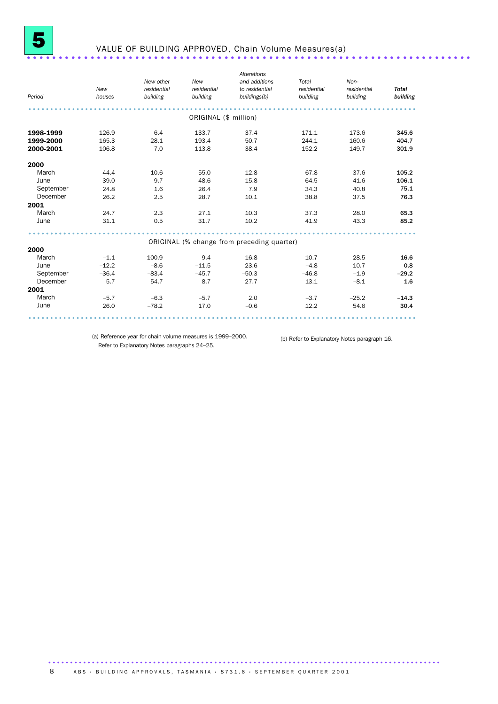

### VALUE OF BUILDING APPROVED, Chain Volume Measures(a) ......................................................................

| Period    | New<br>houses | New other<br>residential<br>building | New<br>residential<br>building | Alterations<br>and additions<br>to residential<br>buildings(b) | Total<br>residential<br>building | Non-<br>residential<br>building | <b>Total</b><br>building |
|-----------|---------------|--------------------------------------|--------------------------------|----------------------------------------------------------------|----------------------------------|---------------------------------|--------------------------|
|           |               |                                      | ORIGINAL (\$ million)          |                                                                |                                  |                                 |                          |
| 1998-1999 | 126.9         | 6.4                                  | 133.7                          | 37.4                                                           | 171.1                            | 173.6                           | 345.6                    |
| 1999-2000 | 165.3         | 28.1                                 | 193.4                          | 50.7                                                           | 244.1                            | 160.6                           | 404.7                    |
| 2000-2001 | 106.8         | 7.0                                  | 113.8                          | 38.4                                                           | 152.2                            | 149.7                           | 301.9                    |
| 2000      |               |                                      |                                |                                                                |                                  |                                 |                          |
| March     | 44.4          | 10.6                                 | 55.0                           | 12.8                                                           | 67.8                             | 37.6                            | 105.2                    |
| June      | 39.0          | 9.7                                  | 48.6                           | 15.8                                                           | 64.5                             | 41.6                            | 106.1                    |
| September | 24.8          | 1.6                                  | 26.4                           | 7.9                                                            | 34.3                             | 40.8                            | 75.1                     |
| December  | 26.2          | 2.5                                  | 28.7                           | 10.1                                                           | 38.8                             | 37.5                            | 76.3                     |
| 2001      |               |                                      |                                |                                                                |                                  |                                 |                          |
| March     | 24.7          | 2.3                                  | 27.1                           | 10.3                                                           | 37.3                             | 28.0                            | 65.3                     |
| June      | 31.1          | 0.5                                  | 31.7                           | 10.2                                                           | 41.9                             | 43.3                            | 85.2                     |
|           |               |                                      |                                |                                                                |                                  |                                 |                          |
|           |               |                                      |                                | ORIGINAL (% change from preceding quarter)                     |                                  |                                 |                          |
| 2000      |               |                                      |                                |                                                                |                                  |                                 |                          |
| March     | $-1.1$        | 100.9                                | 9.4                            | 16.8                                                           | 10.7                             | 28.5                            | 16.6                     |
| June      | $-12.2$       | $-8.6$                               | $-11.5$                        | 23.6                                                           | $-4.8$                           | 10.7                            | 0.8                      |
| September | $-36.4$       | $-83.4$                              | $-45.7$                        | $-50.3$                                                        | $-46.8$                          | $-1.9$                          | $-29.2$                  |
| December  | 5.7           | 54.7                                 | 8.7                            | 27.7                                                           | 13.1                             | $-8.1$                          | 1.6                      |
| 2001      |               |                                      |                                |                                                                |                                  |                                 |                          |
| March     | $-5.7$        | $-6.3$                               | $-5.7$                         | 2.0                                                            | $-3.7$                           | $-25.2$                         | $-14.3$                  |
| June      | 26.0          | $-78.2$                              | 17.0                           | $-0.6$                                                         | 12.2                             | 54.6                            | 30.4                     |
|           |               |                                      |                                |                                                                |                                  |                                 |                          |

(a) Reference year for chain volume measures is 1999–2000. Refer to Explanatory Notes paragraphs 24–25.

(b) Refer to Explanatory Notes paragraph 16.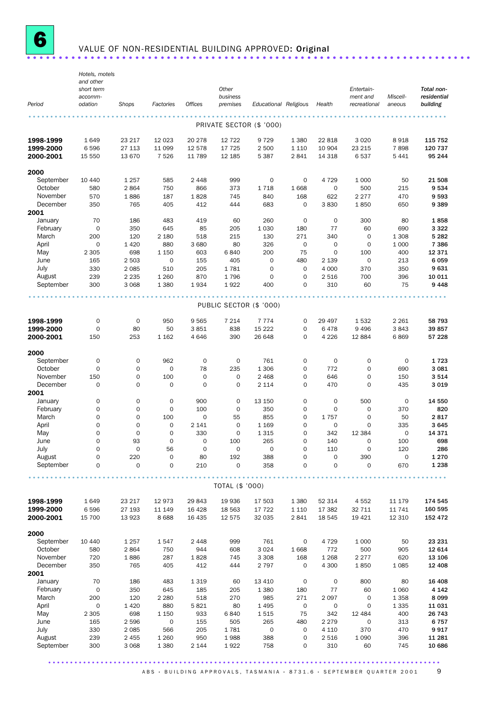

### VALUE OF NON-RESIDENTIAL BUILDING APPROVED: Original ...........................

|                      | Hotels, motels          |                                    |                                    |                            |                            |                          |                            |                  |                            |                            |                    |
|----------------------|-------------------------|------------------------------------|------------------------------------|----------------------------|----------------------------|--------------------------|----------------------------|------------------|----------------------------|----------------------------|--------------------|
|                      | and other<br>short term |                                    |                                    |                            | Other                      |                          |                            |                  | Entertain-                 |                            | Total non-         |
|                      | accomm-                 |                                    |                                    |                            | business                   |                          |                            |                  | ment and                   | Miscell-                   | residential        |
| Period               | odation                 | Shops                              | Factories                          | Offices                    | premises                   | Educational Religious    |                            | Health           | recreational               | aneous                     | building           |
|                      |                         |                                    |                                    |                            |                            |                          |                            |                  |                            |                            |                    |
|                      |                         |                                    |                                    |                            |                            | PRIVATE SECTOR (\$ '000) |                            |                  |                            |                            |                    |
| 1998-1999            | 1649                    | 23 217                             | 12 0 23                            | 20 278                     | 12 7 22                    | 9729                     | 1 3 8 0                    | 22 818           | 3 0 2 0                    | 8918                       | 115 752            |
| 1999-2000            | 6596                    | 27 113                             | 11 099                             | 12 578                     | 17 725                     | 2 500                    | 1 1 1 0                    | 10 904           | 23 215                     | 7898                       | 120 737            |
| 2000-2001            | 15 550                  | 13 670                             | 7526                               | 11 789                     | 12 185                     | 5 3 8 7                  | 2841                       | 14 318           | 6537                       | 5 4 4 1                    | 95 244             |
| 2000                 |                         |                                    |                                    |                            |                            |                          |                            |                  |                            |                            |                    |
| September            | 10 440                  | 1 2 5 7                            | 585                                | 2 4 4 8                    | 999                        | $\mathsf{O}\xspace$      | $\mathbf 0$                | 4 7 2 9          | 1 0 0 0                    | 50                         | 21 508             |
| October              | 580                     | 2864                               | 750                                | 866                        | 373                        | 1718                     | 1668                       | $\mathbf 0$      | 500                        | 215                        | 9534               |
| November             | 570                     | 1886                               | 187                                | 1828                       | 745                        | 840                      | 168                        | 622              | 2 2 7 7                    | 470                        | 9593               |
| December<br>2001     | 350                     | 765                                | 405                                | 412                        | 444                        | 683                      | $\mathbf 0$                | 3830             | 1850                       | 650                        | 9389               |
| January              | 70                      | 186                                | 483                                | 419                        | 60                         | 260                      | $\mathbf 0$                | $\mathbf 0$      | 300                        | 80                         | 1858               |
| February             | $\mathsf{O}\xspace$     | 350                                | 645                                | 85                         | 205                        | 1 0 3 0                  | 180                        | 77               | 60                         | 690                        | 3 3 2 2            |
| March                | 200                     | 120                                | 2 1 8 0                            | 518                        | 215                        | 130                      | 271                        | 340              | $\mathbf 0$                | 1 3 0 8                    | 5 2 8 2            |
| April                | $\mathsf{O}\xspace$     | 1 4 2 0                            | 880                                | 3 6 8 0                    | 80                         | 326                      | $\mathsf{O}\xspace$        | $\mathbf 0$      | $\mathbf 0$                | 1 0 0 0                    | 7 3 8 6            |
| May                  | 2 3 0 5                 | 698                                | 1 1 5 0                            | 603                        | 6840                       | 200                      | 75                         | $\mathbf 0$      | 100                        | 400                        | 12 371             |
| June                 | 165                     | 2 5 0 3                            | $\mathbf 0$                        | 155                        | 405                        | $\mathbf 0$              | 480                        | 2 1 3 9          | $\mathbf 0$                | 213                        | 6059               |
| July                 | 330                     | 2 0 8 5                            | 510                                | 205                        | 1781                       | $\mathbf 0$              | 0                          | 4 0 0 0          | 370                        | 350                        | 9631               |
| August<br>September  | 239<br>300              | 2 2 3 5<br>3 0 6 8                 | 1 2 6 0<br>1 3 8 0                 | 870                        | 1796<br>1922               | $\mathbf 0$<br>400       | $\mathbf 0$<br>$\mathbf 0$ | 2 5 1 6<br>310   | 700<br>60                  | 396<br>75                  | 10 011<br>9448     |
|                      |                         |                                    |                                    | 1934                       |                            |                          |                            |                  |                            |                            |                    |
|                      |                         |                                    |                                    |                            | PUBLIC SECTOR (\$ '000)    |                          |                            |                  |                            |                            |                    |
| 1998-1999            | 0                       | $\mathbf 0$                        | 950                                | 9565                       | 7 2 1 4                    | 7 7 7 4                  | $\mathbf 0$                | 29 497           | 1532                       | 2 2 6 1                    | 58 793             |
| 1999-2000            | 0                       | 80                                 | 50                                 | 3851                       | 838                        | 15 2 22                  | 0                          | 6478             | 9496                       | 3843                       | 39857              |
| 2000-2001            | 150                     | 253                                | 1 1 6 2                            | 4 6 4 6                    | 390                        | 26 648                   | $\mathbf 0$                | 4 2 2 6          | 12 8 84                    | 6869                       | 57 228             |
|                      |                         |                                    |                                    |                            |                            |                          |                            |                  |                            |                            |                    |
| 2000                 |                         |                                    |                                    |                            |                            |                          |                            |                  |                            |                            |                    |
| September            | 0                       | $\mathbf 0$                        | 962                                | $\mathbf 0$                | $\mathsf{O}\xspace$        | 761                      | $\mathbf 0$                | 0                | $\mathbf 0$                | 0                          | 1723               |
| October              | $\mathsf{O}\xspace$     | $\mathbf 0$                        | $\mathsf{O}\xspace$                | 78                         | 235                        | 1 3 0 6                  | 0                          | 772              | 0                          | 690                        | 3 0 8 1            |
| November<br>December | 150<br>0                | $\mathsf{O}\xspace$<br>$\mathbf 0$ | 100<br>$\mathbf 0$                 | $\mathbf 0$<br>$\mathbf 0$ | $\mathbf 0$<br>$\mathbf 0$ | 2 4 6 8<br>2 1 1 4       | $\mathbf 0$<br>$\mathbf 0$ | 646<br>470       | $\mathbf 0$<br>$\mathbf 0$ | 150<br>435                 | 3514<br>3 0 1 9    |
| 2001                 |                         |                                    |                                    |                            |                            |                          |                            |                  |                            |                            |                    |
| January              | 0                       | $\mathbf 0$                        | $\mathbf 0$                        | 900                        | $\mathbf 0$                | 13 150                   | $\mathbf 0$                | $\mathbf 0$      | 500                        | 0                          | 14 550             |
| February             | 0                       | $\mathsf{O}\xspace$                | $\mathsf{O}\xspace$                | 100                        | $\mathbf 0$                | 350                      | $\mathbf 0$                | $\mathbf 0$      | $\mathbf 0$                | 370                        | 820                |
| March                | 0                       | $\mathbf 0$                        | 100                                | $\mathbf 0$                | 55                         | 855                      | $\mathbf 0$                | 1757             | $\mathbf 0$                | 50                         | 2817               |
| April                | $\mathbf 0$             | $\mathbf 0$                        | $\mathbf 0$                        | 2 141                      | $\mathbf 0$                | 1 1 6 9                  | $\mathbf 0$                | $\mathbf 0$      | $\mathbf 0$                | 335                        | 3645               |
| May                  | 0                       | $\mathbf 0$                        | $\mathsf{O}\xspace$                | 330                        | $\mathbf 0$                | 1 3 1 5                  | $\mathbf 0$                | 342              | 12 3 84                    | $\mathbf 0$                | 14 371             |
| June                 | $\Omega$                | 93                                 | $\Omega$                           | $\mathbf 0$                | 100                        | 265                      | 0                          | 140              | 0                          | 100                        | 698                |
| July<br>August       | 0                       | $\mathsf{O}\xspace$                | 56                                 | $\mathsf O$                | $\mathsf{O}\xspace$        | $\mathsf{O}\xspace$      | $\mathsf{O}\xspace$        | 110              | $\mathbf 0$                | 120                        | 286                |
| September            | 0<br>0                  | 220<br>0                           | $\mathsf{O}\xspace$<br>$\mathbf 0$ | 80<br>210                  | 192<br>0                   | 388<br>358               | $\mathbf 0$<br>$\mathbf 0$ | 0<br>$\mathbf 0$ | 390<br>$\mathbf 0$         | $\mathsf{O}\xspace$<br>670 | 1 2 7 0<br>1 2 3 8 |
|                      |                         |                                    |                                    |                            |                            |                          |                            |                  |                            |                            |                    |
|                      |                         |                                    |                                    |                            | TOTAL (\$ '000)            |                          |                            |                  |                            |                            |                    |
| 1998-1999            | 1649                    | 23 217                             | 12973                              | 29 843                     | 19 936                     | 17 503                   | 1 3 8 0                    | 52 314           | 4 5 5 2                    | 11 179                     | 174 545            |
| 1999-2000            | 6596                    | 27 193                             | 11 149                             | 16 4 28                    | 18 5 63                    | 17 722                   | 1 1 1 0                    | 17 382           | 32 711                     | 11 741                     | 160 595            |
| 2000-2001            | 15 700                  | 13923                              | 8688                               | 16 4 35                    | 12 575                     | 32 035                   | 2841                       | 18 545           | 19 4 21                    | 12 310                     | 152 472            |
| 2000                 |                         |                                    |                                    |                            |                            |                          |                            |                  |                            |                            |                    |
| September            | 10 440                  | 1 2 5 7                            | 1547                               | 2 4 4 8                    | 999                        | 761                      | $\mathbf 0$                | 4 7 2 9          | 1 0 0 0                    | 50                         | 23 231             |
| October              | 580                     | 2864                               | 750                                | 944                        | 608                        | 3 0 2 4                  | 1668                       | 772              | 500                        | 905                        | 12 614             |
| November             | 720                     | 1886                               | 287                                | 1828                       | 745                        | 3 3 0 8                  | 168                        | 1 2 6 8          | 2 2 7 7                    | 620                        | 13 106             |
| December             | 350                     | 765                                | 405                                | 412                        | 444                        | 2 7 9 7                  | 0                          | 4 300            | 1850                       | 1085                       | 12 408             |
| 2001                 |                         |                                    |                                    |                            |                            |                          |                            |                  |                            |                            |                    |
| January              | 70                      | 186                                | 483                                | 1 3 1 9                    | 60                         | 13 410                   | $\mathbf 0$                | 0                | 800                        | 80                         | 16 408             |
| February<br>March    | 0<br>200                | 350<br>120                         | 645<br>2 2 8 0                     | 185<br>518                 | 205<br>270                 | 1 3 8 0<br>985           | 180                        | 77<br>2 0 9 7    | 60<br>$\mathbf 0$          | 1 0 6 0<br>1 3 5 8         | 4 1 4 2<br>8099    |
| April                | $\mathsf{O}\xspace$     | 1 4 2 0                            | 880                                | 5821                       | 80                         | 1495                     | 271<br>0                   | 0                | $\mathbf 0$                | 1 3 3 5                    | 11 031             |
| May                  | 2 3 0 5                 | 698                                | 1 1 5 0                            | 933                        | 6840                       | 1515                     | 75                         | 342              | 12 4 84                    | 400                        | 26 743             |
| June                 | 165                     | 2596                               | $\mathsf{O}\xspace$                | 155                        | 505                        | 265                      | 480                        | 2 2 7 9          | 0                          | 313                        | 6757               |
| July                 | 330                     | 2085                               | 566                                | 205                        | 1781                       | $\mathsf{O}\xspace$      | 0                          | 4 1 1 0          | 370                        | 470                        | 9917               |
| August               | 239                     | 2 4 5 5                            | 1 2 6 0                            | 950                        | 1988                       | 388                      | $\mathbf 0$                | 2 5 1 6          | 1 0 9 0                    | 396                        | 11 281             |
| September            | 300                     | 3 0 6 8                            | 1 3 8 0                            | 2 144                      | 1922                       | 758                      | $\mathbf 0$                | 310              | 60                         | 745                        | 10 686             |

..........................................................................................  $ABS \cdot B$ UILDING APPROVALS, TASMANIA  $\cdot$  8731.6  $\cdot$  SEPTEMBER QUARTER 2001 9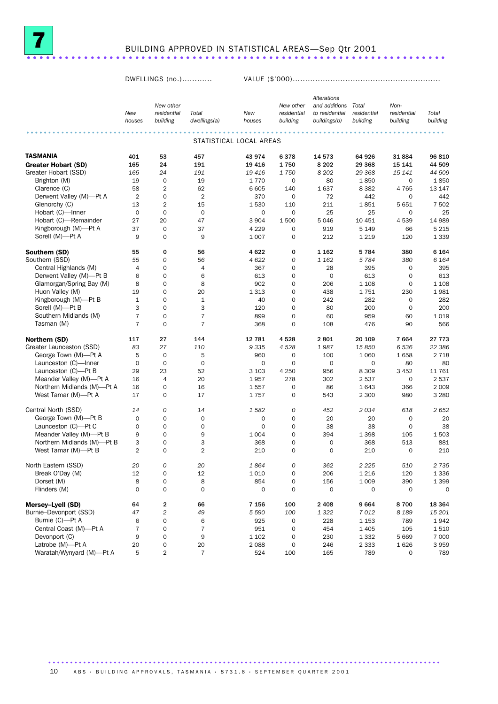

### BUILDING APPROVED IN STATISTICAL AREAS—Sep Qtr 2001 .............................

DWELLINGS (no.)............ VALUE (\$'000)...........................................................

|                            |                |                         |                |                         |                     | Alterations    |             |             |             |
|----------------------------|----------------|-------------------------|----------------|-------------------------|---------------------|----------------|-------------|-------------|-------------|
|                            |                | New other               |                |                         | New other           | and additions  | Total       | Non-        |             |
|                            | New            | residential             | Total          | New                     | residential         | to residential | residential | residential | Total       |
|                            | houses         | building                | dwellings(a)   | houses                  | building            | buildings(b)   | building    | building    | building    |
|                            |                |                         |                |                         |                     |                |             |             |             |
|                            |                |                         |                | STATISTICAL LOCAL AREAS |                     |                |             |             |             |
| <b>TASMANIA</b>            | 401            | 53                      | 457            | 43 974                  | 6378                | 14 573         | 64 926      | 31884       | 96 810      |
| <b>Greater Hobart (SD)</b> | 165            | 24                      | 191            | 19 4 16                 | 1750                | 8 2 0 2        | 29 3 68     | 15 141      | 44 509      |
| Greater Hobart (SSD)       | 165            | 24                      | 191            | 19 4 16                 | 1750                | 8 2 0 2        | 29 3 68     | 15 141      | 44 509      |
| Brighton (M)               | 19             | $\mathbf 0$             | 19             | 1770                    | 0                   | 80             | 1850        | $\mathbf 0$ | 1850        |
| Clarence (C)               | 58             | $\overline{2}$          | 62             | 6 6 0 5                 | 140                 | 1637           | 8 3 8 2     | 4765        | 13 147      |
| Derwent Valley (M)-Pt A    | $\overline{2}$ | $\mathbf 0$             | $\overline{2}$ | 370                     | 0                   | 72             | 442         | $\mathbf 0$ | 442         |
| Glenorchy (C)              | 13             | $\overline{2}$          | 15             | 1530                    | 110                 | 211            | 1851        | 5 6 5 1     | 7 502       |
| Hobart (C)-Inner           | $\mathbf 0$    | $\mathbf 0$             | $\mathbf 0$    | $\mathbf 0$             | $\mathbf 0$         | 25             | 25          | $\mathbf 0$ | 25          |
| Hobart (C)-Remainder       | 27             | 20                      | 47             | 3 9 0 4                 | 1 500               | 5046           | 10 451      | 4539        | 14 989      |
| Kingborough (M)-Pt A       | 37             | $\mathbf 0$             | 37             | 4 2 2 9                 | $\mathbf 0$         | 919            | 5 1 4 9     | 66          | 5 2 1 5     |
| Sorell (M)-Pt A            | 9              | $\mathbf 0$             | 9              | 1 0 0 7                 | $\mathbf 0$         | 212            | 1 2 1 9     | 120         | 1 3 3 9     |
| Southern (SD)              | 55             | $\mathbf 0$             | 56             | 4622                    | 0                   | 1 162          | 5784        | 380         | 6 1 6 4     |
| Southern (SSD)             | 55             | $\boldsymbol{0}$        | 56             | 4 6 22                  | 0                   | 1 162          | 5784        | 380         | 6 1 6 4     |
| Central Highlands (M)      | 4              | $\mathbf 0$             | 4              | 367                     | $\mathbf 0$         | 28             | 395         | $\mathbf 0$ | 395         |
| Derwent Valley (M)-Pt B    | 6              | $\mathbf 0$             | 6              | 613                     | $\mathbf 0$         | $\mathbf 0$    | 613         | $\mathbf 0$ | 613         |
| Glamorgan/Spring Bay (M)   | 8              | $\mathbf 0$             | 8              | 902                     | $\mathbf 0$         | 206            | 1 1 0 8     | $\mathbf 0$ | 1 1 0 8     |
| Huon Valley (M)            | 19             | $\mathbf 0$             | 20             | 1 3 1 3                 | $\mathbf 0$         | 438            | 1751        | 230         | 1981        |
| Kingborough (M)-Pt B       | $\mathbf{1}$   | $\mathbf 0$             | $\mathbf 1$    | 40                      | $\mathbf 0$         | 242            | 282         | 0           | 282         |
| Sorell (M)-Pt B            | 3              | $\mathbf 0$             | 3              | 120                     | $\mathbf 0$         | 80             | 200         | $\mathbf 0$ | 200         |
| Southern Midlands (M)      | $\overline{7}$ | $\mathbf 0$             | $\overline{7}$ | 899                     | $\mathbf 0$         | 60             | 959         | 60          | 1019        |
| Tasman (M)                 | $\overline{7}$ | $\mathbf 0$             | $\overline{7}$ | 368                     | $\mathbf 0$         | 108            | 476         | 90          | 566         |
|                            |                |                         |                |                         |                     |                |             |             |             |
| Northern (SD)              | 117            | 27                      | 144            | 12 781                  | 4528                | 2801           | 20 109      | 7664        | 27 7 7 3    |
| Greater Launceston (SSD)   | 83             | 27                      | 110            | 9 3 3 5                 | 4528                | 1987           | 15850       | 6536        | 22 386      |
| George Town (M)-Pt A       | 5              | $\mathbf 0$             | 5              | 960                     | 0                   | 100            | 1 0 6 0     | 1658        | 2 7 1 8     |
| Launceston (C)-Inner       | $\mathbf 0$    | $\mathbf 0$             | $\mathbf 0$    | 0                       | $\mathbf 0$         | $\mathbf 0$    | $\mathbf 0$ | 80          | 80          |
| Launceston (C)-Pt B        | 29             | 23                      | 52             | 3 1 0 3                 | 4 2 5 0             | 956            | 8 3 0 9     | 3 4 5 2     | 11 761      |
| Meander Valley (M)-Pt A    | 16             | 4                       | 20             | 1957                    | 278                 | 302            | 2537        | $\mathbf 0$ | 2537        |
| Northern Midlands (M)-Pt A | 16             | $\mathbf 0$             | 16             | 1557                    | $\mathbf 0$         | 86             | 1643        | 366         | 2 0 0 9     |
| West Tamar (M)-Pt A        | 17             | $\mathbf 0$             | 17             | 1757                    | 0                   | 543            | 2 3 0 0     | 980         | 3 2 8 0     |
| Central North (SSD)        | 14             | 0                       | 14             | 1582                    | 0                   | 452            | 2034        | 618         | 2 652       |
| George Town (M)-Pt B       | $\mathbf 0$    | $\mathbf 0$             | $\mathbf 0$    | 0                       | $\mathbf 0$         | 20             | 20          | $\mathbf 0$ | 20          |
| Launceston (C)-Pt C        | $\mathbf 0$    | $\mathbf 0$             | 0              | 0                       | $\mathbf 0$         | 38             | 38          | $\mathbf 0$ | 38          |
| Meander Valley (M)-Pt B    | 9              | $\mathbf 0$             | 9              | 1 0 0 4                 | $\mathbf 0$         | 394            | 1 3 9 8     | 105         | 1503        |
| Northern Midlands (M)-Pt B | 3              | $\mathbf 0$             | 3              | 368                     | $\mathbf 0$         | 0              | 368         | 513         | 881         |
| West Tamar (M)-Pt B        | $\overline{2}$ | $\mathbf 0$             | $\overline{2}$ | 210                     | $\mathbf 0$         | $\mathbf 0$    | 210         | $\mathbf 0$ | 210         |
| North Eastern (SSD)        | 20             | 0                       | 20             | 1864                    | $\mathcal{O}$       | 362            | 2 2 2 5     | 510         | 2 735       |
| Break O'Day (M)            | 12             | $\mathsf{O}\xspace$     | 12             | 1010                    | $\mathsf{O}\xspace$ | 206            | 1 2 1 6     | 120         | 1336        |
| Dorset (M)                 | 8              | $\mathsf{O}\xspace$     | 8              | 854                     | $\mathsf{O}\xspace$ | 156            | 1 0 0 9     | 390         | 1 3 9 9     |
| Flinders (M)               | $\mathbf 0$    | $\mathsf{O}\xspace$     | $\mathbf 0$    | 0                       | 0                   | $\mathbf 0$    | 0           | $\mathbf 0$ | $\mathsf O$ |
|                            |                |                         |                |                         |                     |                |             |             |             |
| Mersey-Lyell (SD)          | 64             | 2                       | 66             | 7 1 5 6                 | 100                 | 2 4 0 8        | 9664        | 8700        | 18 3 64     |
| Burnie-Devonport (SSD)     | 47             | $\overline{c}$          | 49             | 5 5 9 0                 | 100                 | 1 3 2 2        | 7012        | 8 1 8 9     | 15 201      |
| Burnie (C)-Pt A            | 6              | 0                       | 6              | 925                     | 0                   | 228            | 1 1 5 3     | 789         | 1942        |
| Central Coast (M)-Pt A     | $\overline{7}$ | $\mathbf 0$             | $\overline{7}$ | 951                     | 0                   | 454            | 1 4 0 5     | 105         | 1510        |
| Devonport (C)              | 9              | $\mathbf 0$             | 9              | 1 1 0 2                 | 0                   | 230            | 1 3 3 2     | 5 6 6 9     | 7 0 0 0     |
| Latrobe (M)-Pt A           | 20             | 0                       | 20             | 2088                    | 0                   | 246            | 2 3 3 3     | 1626        | 3959        |
| Waratah/Wynyard (M)-Pt A   | 5              | $\overline{\mathbf{2}}$ | $\overline{7}$ | 524                     | 100                 | 165            | 789         | 0           | 789         |

10 A B S · BUILDING APPROVALS, TASMANIA · 8731.6 · SEPTEMBER QUARTER 2001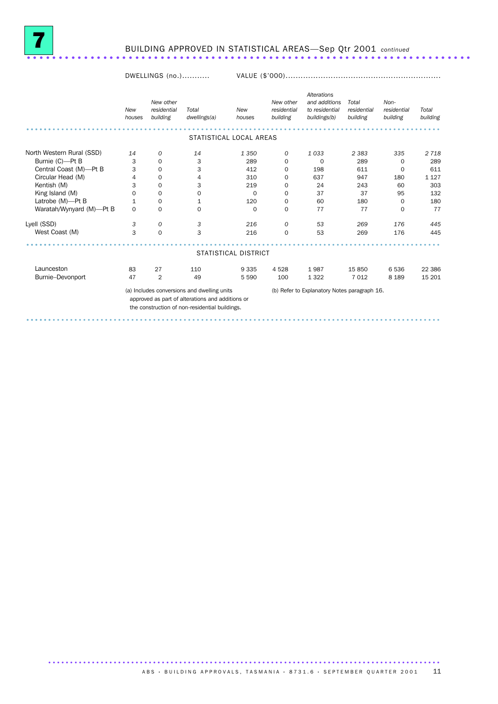

## BUILDING APPROVED IN STATISTICAL AREAS—Sep Qtr 2001 *continued* ......................................................................

#### DWELLINGS (no.)........... VALUE (\$'000)..............................................................

|                                              | New<br>houses               | New other<br>residential<br>building | Total<br>dwellings(a)                                                                                                                             | <b>New</b><br>houses | New other<br>residential<br>building | Alterations<br>and additions<br>to residential<br>buildings(b) | Total<br>residential<br>building | Non-<br>residential<br>building | Total<br>building |  |
|----------------------------------------------|-----------------------------|--------------------------------------|---------------------------------------------------------------------------------------------------------------------------------------------------|----------------------|--------------------------------------|----------------------------------------------------------------|----------------------------------|---------------------------------|-------------------|--|
| STATISTICAL LOCAL AREAS                      |                             |                                      |                                                                                                                                                   |                      |                                      |                                                                |                                  |                                 |                   |  |
| North Western Rural (SSD)<br>Burnie (C)-Pt B | 14<br>3                     | 0<br>0                               | 14<br>3                                                                                                                                           | 1 3 5 0<br>289       | 0<br>$\Omega$                        | 1033<br>$\Omega$                                               | 2 3 8 3<br>289                   | 335<br>0                        | 2 7 18<br>289     |  |
| Central Coast (M)-Pt B                       | 3                           | 0                                    | 3                                                                                                                                                 | 412                  | 0                                    | 198                                                            | 611                              | 0                               | 611               |  |
| Circular Head (M)<br>Kentish (M)             | 4<br>3                      | 0<br>$\Omega$                        | 4<br>3                                                                                                                                            | 310<br>219           | 0<br>$\Omega$                        | 637<br>24                                                      | 947<br>243                       | 180<br>60                       | 1 1 2 7<br>303    |  |
| King Island (M)<br>Latrobe (M)-Pt B          | $\mathbf 0$<br>$\mathbf{1}$ | 0<br>0                               | 0<br>1                                                                                                                                            | $\mathbf 0$<br>120   | 0<br>0                               | 37<br>60                                                       | 37<br>180                        | 95<br>0                         | 132<br>180        |  |
| Waratah/Wynyard (M)-Pt B                     | $\Omega$                    | $\mathbf 0$                          | $\Omega$                                                                                                                                          | $\Omega$             | $\Omega$                             | 77                                                             | 77                               | $\Omega$                        | 77                |  |
| Lyell (SSD)                                  | 3                           | 0                                    | 3                                                                                                                                                 | 216                  | 0                                    | 53                                                             | 269                              | 176                             | 445               |  |
| West Coast (M)                               | 3                           | $\mathbf 0$                          | 3                                                                                                                                                 | 216                  | $\mathbf 0$                          | 53                                                             | 269                              | 176                             | 445               |  |
|                                              |                             |                                      |                                                                                                                                                   | STATISTICAL DISTRICT |                                      |                                                                |                                  |                                 |                   |  |
| Launceston                                   | 83                          | 27                                   | 110                                                                                                                                               | 9 3 3 5              | 4528                                 | 1987                                                           | 15 850                           | 6536                            | 22 3 86           |  |
| Burnie-Devonport                             | 47                          | $\overline{2}$                       | 49                                                                                                                                                | 5 5 9 0              | 100                                  | 1 3 2 2                                                        | 7 0 1 2                          | 8 1 8 9                         | 15 201            |  |
|                                              |                             |                                      | (a) Includes conversions and dwelling units<br>approved as part of alterations and additions or<br>the construction of non-residential buildings. |                      |                                      | (b) Refer to Explanatory Notes paragraph 16.                   |                                  |                                 |                   |  |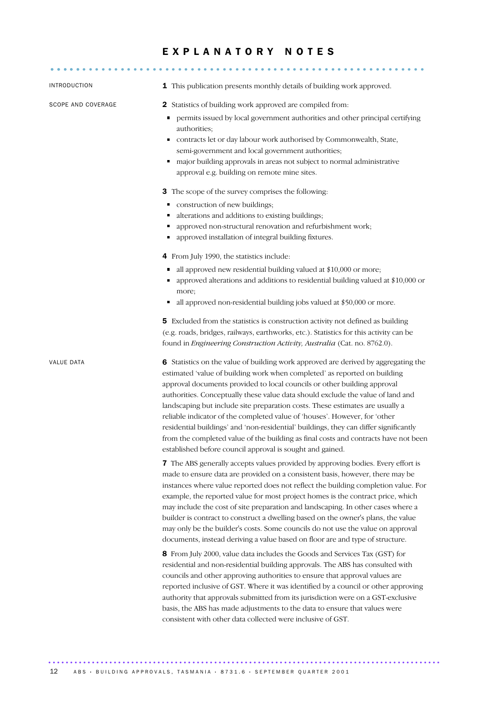### EXPLANATORY NOTES

| <b>INTRODUCTION</b> | 1 This publication presents monthly details of building work approved.                                                                                                                                                                                                                                                                                                                                                                                                                                                                                                                                                                                                                                                                     |  |  |  |  |  |  |
|---------------------|--------------------------------------------------------------------------------------------------------------------------------------------------------------------------------------------------------------------------------------------------------------------------------------------------------------------------------------------------------------------------------------------------------------------------------------------------------------------------------------------------------------------------------------------------------------------------------------------------------------------------------------------------------------------------------------------------------------------------------------------|--|--|--|--|--|--|
| SCOPE AND COVERAGE  | <b>2</b> Statistics of building work approved are compiled from:<br>permits issued by local government authorities and other principal certifying<br>٠<br>authorities;<br>contracts let or day labour work authorised by Commonwealth, State,<br>Ξ<br>semi-government and local government authorities;<br>major building approvals in areas not subject to normal administrative<br>٠<br>approval e.g. building on remote mine sites.                                                                                                                                                                                                                                                                                                     |  |  |  |  |  |  |
|                     | 3 The scope of the survey comprises the following:<br>construction of new buildings;<br>٠<br>alterations and additions to existing buildings;<br>п<br>approved non-structural renovation and refurbishment work;<br>approved installation of integral building fixtures.                                                                                                                                                                                                                                                                                                                                                                                                                                                                   |  |  |  |  |  |  |
|                     | 4 From July 1990, the statistics include:<br>all approved new residential building valued at \$10,000 or more;<br>٠<br>approved alterations and additions to residential building valued at \$10,000 or<br>more;<br>all approved non-residential building jobs valued at \$50,000 or more.                                                                                                                                                                                                                                                                                                                                                                                                                                                 |  |  |  |  |  |  |
|                     | 5 Excluded from the statistics is construction activity not defined as building<br>(e.g. roads, bridges, railways, earthworks, etc.). Statistics for this activity can be<br>found in Engineering Construction Activity, Australia (Cat. no. 8762.0).                                                                                                                                                                                                                                                                                                                                                                                                                                                                                      |  |  |  |  |  |  |
| VALUE DATA          | 6 Statistics on the value of building work approved are derived by aggregating the<br>estimated 'value of building work when completed' as reported on building<br>approval documents provided to local councils or other building approval<br>authorities. Conceptually these value data should exclude the value of land and<br>landscaping but include site preparation costs. These estimates are usually a<br>reliable indicator of the completed value of 'houses'. However, for 'other<br>residential buildings' and 'non-residential' buildings, they can differ significantly<br>from the completed value of the building as final costs and contracts have not been<br>established before council approval is sought and gained. |  |  |  |  |  |  |
|                     | 7 The ABS generally accepts values provided by approving bodies. Every effort is<br>made to ensure data are provided on a consistent basis, however, there may be<br>instances where value reported does not reflect the building completion value. For<br>example, the reported value for most project homes is the contract price, which<br>may include the cost of site preparation and landscaping. In other cases where a<br>builder is contract to construct a dwelling based on the owner's plans, the value<br>may only be the builder's costs. Some councils do not use the value on approval<br>documents, instead deriving a value based on floor are and type of structure.                                                    |  |  |  |  |  |  |
|                     | 8 From July 2000, value data includes the Goods and Services Tax (GST) for<br>residential and non-residential building approvals. The ABS has consulted with<br>councils and other approving authorities to ensure that approval values are<br>reported inclusive of GST. Where it was identified by a council or other approving<br>authority that approvals submitted from its jurisdiction were on a GST-exclusive<br>basis, the ABS has made adjustments to the data to ensure that values were<br>consistent with other data collected were inclusive of GST.                                                                                                                                                                         |  |  |  |  |  |  |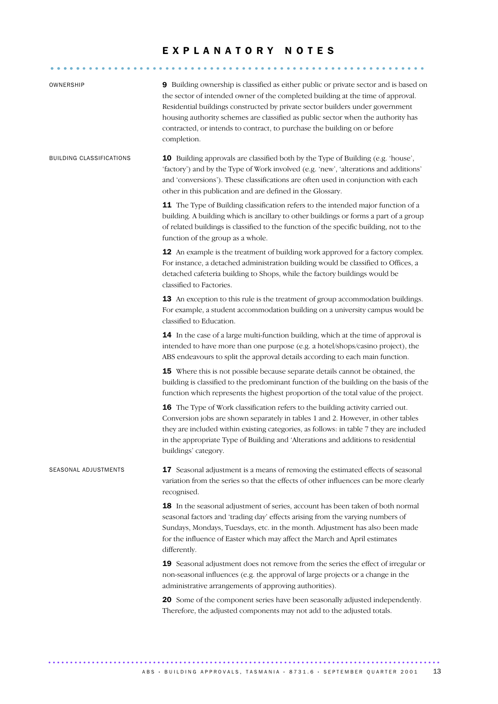### EXPLANATORY NOTES

........................................................... .....

| OWNERSHIP                       | 9 Building ownership is classified as either public or private sector and is based on<br>the sector of intended owner of the completed building at the time of approval.<br>Residential buildings constructed by private sector builders under government<br>housing authority schemes are classified as public sector when the authority has<br>contracted, or intends to contract, to purchase the building on or before<br>completion. |
|---------------------------------|-------------------------------------------------------------------------------------------------------------------------------------------------------------------------------------------------------------------------------------------------------------------------------------------------------------------------------------------------------------------------------------------------------------------------------------------|
| <b>BUILDING CLASSIFICATIONS</b> | <b>10</b> Building approvals are classified both by the Type of Building (e.g. 'house',<br>'factory') and by the Type of Work involved (e.g. 'new', 'alterations and additions'<br>and 'conversions'). These classifications are often used in conjunction with each<br>other in this publication and are defined in the Glossary.                                                                                                        |
|                                 | 11 The Type of Building classification refers to the intended major function of a<br>building. A building which is ancillary to other buildings or forms a part of a group<br>of related buildings is classified to the function of the specific building, not to the<br>function of the group as a whole.                                                                                                                                |
|                                 | <b>12</b> An example is the treatment of building work approved for a factory complex.<br>For instance, a detached administration building would be classified to Offices, a<br>detached cafeteria building to Shops, while the factory buildings would be<br>classified to Factories.                                                                                                                                                    |
|                                 | 13 An exception to this rule is the treatment of group accommodation buildings.<br>For example, a student accommodation building on a university campus would be<br>classified to Education.                                                                                                                                                                                                                                              |
|                                 | 14 In the case of a large multi-function building, which at the time of approval is<br>intended to have more than one purpose (e.g. a hotel/shops/casino project), the<br>ABS endeavours to split the approval details according to each main function.                                                                                                                                                                                   |
|                                 | 15 Where this is not possible because separate details cannot be obtained, the<br>building is classified to the predominant function of the building on the basis of the<br>function which represents the highest proportion of the total value of the project.                                                                                                                                                                           |
|                                 | <b>16</b> The Type of Work classification refers to the building activity carried out.<br>Conversion jobs are shown separately in tables 1 and 2. However, in other tables<br>they are included within existing categories, as follows: in table 7 they are included<br>in the appropriate Type of Building and 'Alterations and additions to residential<br>buildings' category.                                                         |
| SEASONAL ADJUSTMENTS            | 17 Seasonal adjustment is a means of removing the estimated effects of seasonal<br>variation from the series so that the effects of other influences can be more clearly<br>recognised.                                                                                                                                                                                                                                                   |
|                                 | 18 In the seasonal adjustment of series, account has been taken of both normal<br>seasonal factors and 'trading day' effects arising from the varying numbers of<br>Sundays, Mondays, Tuesdays, etc. in the month. Adjustment has also been made<br>for the influence of Easter which may affect the March and April estimates<br>differently.                                                                                            |
|                                 | 19 Seasonal adjustment does not remove from the series the effect of irregular or<br>non-seasonal influences (e.g. the approval of large projects or a change in the<br>administrative arrangements of approving authorities).                                                                                                                                                                                                            |
|                                 | 20 Some of the component series have been seasonally adjusted independently.<br>Therefore, the adjusted components may not add to the adjusted totals.                                                                                                                                                                                                                                                                                    |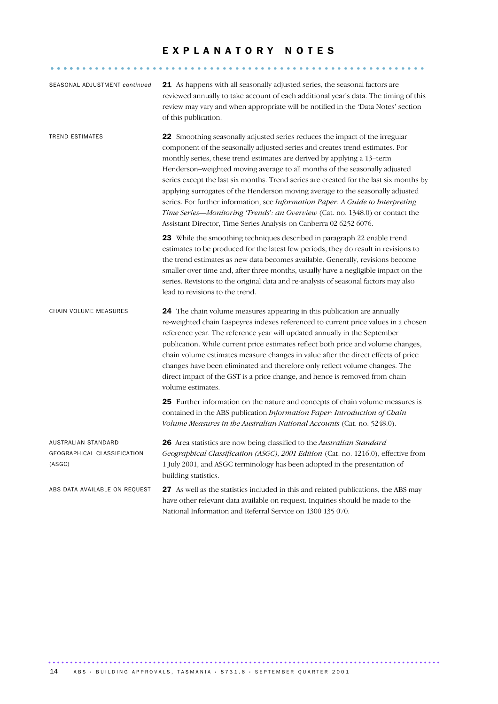### EXPLANATORY NOTES

........................................................... .....

| SEASONAL ADJUSTMENT continued                                | 21 As happens with all seasonally adjusted series, the seasonal factors are<br>reviewed annually to take account of each additional year's data. The timing of this<br>review may vary and when appropriate will be notified in the 'Data Notes' section<br>of this publication.                                                                                                                                                                                                                                                                                                                                                                                                                                                                  |
|--------------------------------------------------------------|---------------------------------------------------------------------------------------------------------------------------------------------------------------------------------------------------------------------------------------------------------------------------------------------------------------------------------------------------------------------------------------------------------------------------------------------------------------------------------------------------------------------------------------------------------------------------------------------------------------------------------------------------------------------------------------------------------------------------------------------------|
| <b>TREND ESTIMATES</b>                                       | <b>22</b> Smoothing seasonally adjusted series reduces the impact of the irregular<br>component of the seasonally adjusted series and creates trend estimates. For<br>monthly series, these trend estimates are derived by applying a 13-term<br>Henderson-weighted moving average to all months of the seasonally adjusted<br>series except the last six months. Trend series are created for the last six months by<br>applying surrogates of the Henderson moving average to the seasonally adjusted<br>series. For further information, see Information Paper: A Guide to Interpreting<br>Time Series-Monitoring 'Trends': an Overview (Cat. no. 1348.0) or contact the<br>Assistant Director, Time Series Analysis on Canberra 02 6252 6076. |
|                                                              | 23 While the smoothing techniques described in paragraph 22 enable trend<br>estimates to be produced for the latest few periods, they do result in revisions to<br>the trend estimates as new data becomes available. Generally, revisions become<br>smaller over time and, after three months, usually have a negligible impact on the<br>series. Revisions to the original data and re-analysis of seasonal factors may also<br>lead to revisions to the trend.                                                                                                                                                                                                                                                                                 |
| CHAIN VOLUME MEASURES                                        | 24 The chain volume measures appearing in this publication are annually<br>re-weighted chain Laspeyres indexes referenced to current price values in a chosen<br>reference year. The reference year will updated annually in the September<br>publication. While current price estimates reflect both price and volume changes,<br>chain volume estimates measure changes in value after the direct effects of price<br>changes have been eliminated and therefore only reflect volume changes. The<br>direct impact of the GST is a price change, and hence is removed from chain<br>volume estimates.                                                                                                                                           |
|                                                              | 25 Further information on the nature and concepts of chain volume measures is<br>contained in the ABS publication Information Paper: Introduction of Chain<br>Volume Measures in the Australian National Accounts (Cat. no. 5248.0).                                                                                                                                                                                                                                                                                                                                                                                                                                                                                                              |
| AUSTRALIAN STANDARD<br>GEOGRAPHICAL CLASSIFICATION<br>(ASGC) | 26 Area statistics are now being classified to the Australian Standard<br>Geographical Classification (ASGC), 2001 Edition (Cat. no. 1216.0), effective from<br>1 July 2001, and ASGC terminology has been adopted in the presentation of<br>building statistics.                                                                                                                                                                                                                                                                                                                                                                                                                                                                                 |
| ABS DATA AVAILABLE ON REQUEST                                | 27 As well as the statistics included in this and related publications, the ABS may<br>have other relevant data available on request. Inquiries should be made to the                                                                                                                                                                                                                                                                                                                                                                                                                                                                                                                                                                             |

National Information and Referral Service on 1300 135 070.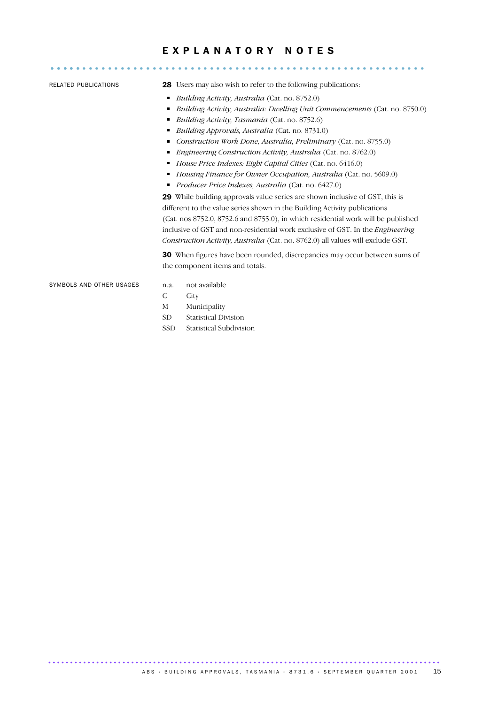### E X P L A N A T O R Y N O T E S ........................................................... .....

- RELATED PUBLICATIONS 28 Users may also wish to refer to the following publications:
	- *Building Activity, Australia* (Cat. no. 8752.0)
	- *Building Activity, Australia: Dwelling Unit Commencements* (Cat. no. 8750.0)
	- *Building Activity, Tasmania* (Cat. no. 8752.6)
	- *Building Approvals, Australia* (Cat. no. 8731.0)
	- *Construction Work Done, Australia, Preliminary* (Cat. no. 8755.0)
	- *Engineering Construction Activity, Australia* (Cat. no. 8762.0)
	- *House Price Indexes: Eight Capital Cities* (Cat. no. 6416.0)
	- *Housing Finance for Owner Occupation, Australia* (Cat. no. 5609.0)
	- *Producer Price Indexes, Australia* (Cat. no. 6427.0)

29 While building approvals value series are shown inclusive of GST, this is different to the value series shown in the Building Activity publications (Cat. nos 8752.0, 8752.6 and 8755.0), in which residential work will be published inclusive of GST and non-residential work exclusive of GST. In the *Engineering Construction Activity, Australia* (Cat. no. 8762.0) all values will exclude GST.

30 When figures have been rounded, discrepancies may occur between sums of the component items and totals.

SYMBOLS AND OTHER USAGES n.a. not available

- 
- C City
- M Municipality
- SD Statistical Division
- SSD Statistical Subdivision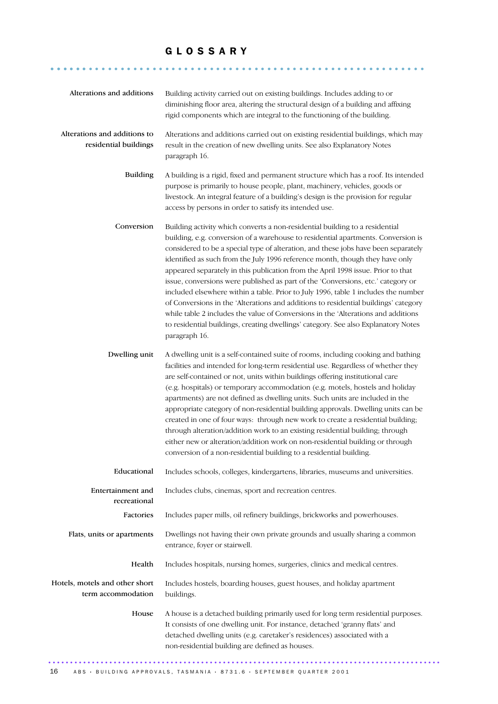### G L O S S A R Y

........................................................... ......

| Alterations and additions                             | Building activity carried out on existing buildings. Includes adding to or<br>diminishing floor area, altering the structural design of a building and affixing<br>rigid components which are integral to the functioning of the building.                                                                                                                                                                                                                                                                                                                                                                                                                                                                                                                                                                                                                                               |
|-------------------------------------------------------|------------------------------------------------------------------------------------------------------------------------------------------------------------------------------------------------------------------------------------------------------------------------------------------------------------------------------------------------------------------------------------------------------------------------------------------------------------------------------------------------------------------------------------------------------------------------------------------------------------------------------------------------------------------------------------------------------------------------------------------------------------------------------------------------------------------------------------------------------------------------------------------|
| Alterations and additions to<br>residential buildings | Alterations and additions carried out on existing residential buildings, which may<br>result in the creation of new dwelling units. See also Explanatory Notes<br>paragraph 16.                                                                                                                                                                                                                                                                                                                                                                                                                                                                                                                                                                                                                                                                                                          |
| <b>Building</b>                                       | A building is a rigid, fixed and permanent structure which has a roof. Its intended<br>purpose is primarily to house people, plant, machinery, vehicles, goods or<br>livestock. An integral feature of a building's design is the provision for regular<br>access by persons in order to satisfy its intended use.                                                                                                                                                                                                                                                                                                                                                                                                                                                                                                                                                                       |
| Conversion                                            | Building activity which converts a non-residential building to a residential<br>building, e.g. conversion of a warehouse to residential apartments. Conversion is<br>considered to be a special type of alteration, and these jobs have been separately<br>identified as such from the July 1996 reference month, though they have only<br>appeared separately in this publication from the April 1998 issue. Prior to that<br>issue, conversions were published as part of the 'Conversions, etc.' category or<br>included elsewhere within a table. Prior to July 1996, table 1 includes the number<br>of Conversions in the 'Alterations and additions to residential buildings' category<br>while table 2 includes the value of Conversions in the 'Alterations and additions<br>to residential buildings, creating dwellings' category. See also Explanatory Notes<br>paragraph 16. |
| Dwelling unit                                         | A dwelling unit is a self-contained suite of rooms, including cooking and bathing<br>facilities and intended for long-term residential use. Regardless of whether they<br>are self-contained or not, units within buildings offering institutional care<br>(e.g. hospitals) or temporary accommodation (e.g. motels, hostels and holiday<br>apartments) are not defined as dwelling units. Such units are included in the<br>appropriate category of non-residential building approvals. Dwelling units can be<br>created in one of four ways: through new work to create a residential building;<br>through alteration/addition work to an existing residential building; through<br>either new or alteration/addition work on non-residential building or through<br>conversion of a non-residential building to a residential building.                                               |
| Educational                                           | Includes schools, colleges, kindergartens, libraries, museums and universities.                                                                                                                                                                                                                                                                                                                                                                                                                                                                                                                                                                                                                                                                                                                                                                                                          |
| Entertainment and<br>recreational                     | Includes clubs, cinemas, sport and recreation centres.                                                                                                                                                                                                                                                                                                                                                                                                                                                                                                                                                                                                                                                                                                                                                                                                                                   |
| Factories                                             | Includes paper mills, oil refinery buildings, brickworks and powerhouses.                                                                                                                                                                                                                                                                                                                                                                                                                                                                                                                                                                                                                                                                                                                                                                                                                |
| Flats, units or apartments                            | Dwellings not having their own private grounds and usually sharing a common<br>entrance, foyer or stairwell.                                                                                                                                                                                                                                                                                                                                                                                                                                                                                                                                                                                                                                                                                                                                                                             |
| Health                                                | Includes hospitals, nursing homes, surgeries, clinics and medical centres.                                                                                                                                                                                                                                                                                                                                                                                                                                                                                                                                                                                                                                                                                                                                                                                                               |
| Hotels, motels and other short<br>term accommodation  | Includes hostels, boarding houses, guest houses, and holiday apartment<br>buildings.                                                                                                                                                                                                                                                                                                                                                                                                                                                                                                                                                                                                                                                                                                                                                                                                     |
| House                                                 | A house is a detached building primarily used for long term residential purposes.<br>It consists of one dwelling unit. For instance, detached 'granny flats' and<br>detached dwelling units (e.g. caretaker's residences) associated with a<br>non-residential building are defined as houses.                                                                                                                                                                                                                                                                                                                                                                                                                                                                                                                                                                                           |